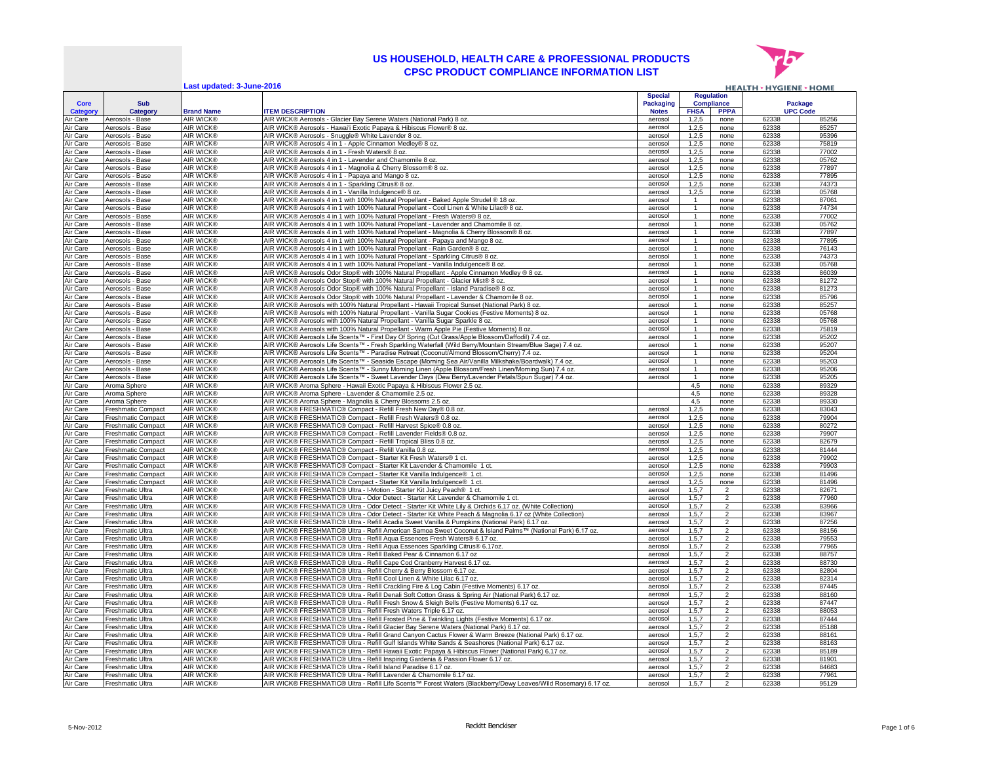

**Last updated: 3-June-2016**

| Last updated: 3-June-2016<br><b>HEALTH &gt; HYGIENE &gt; HOME</b> |                                                        |                                      |                                                                                                                                                                                                                |                                  |                    |                                  |                            |                |
|-------------------------------------------------------------------|--------------------------------------------------------|--------------------------------------|----------------------------------------------------------------------------------------------------------------------------------------------------------------------------------------------------------------|----------------------------------|--------------------|----------------------------------|----------------------------|----------------|
|                                                                   |                                                        |                                      |                                                                                                                                                                                                                | <b>Special</b>                   |                    | <b>Regulation</b>                |                            |                |
| <b>Core</b><br>Category                                           | <b>Sub</b><br>Category                                 | <b>Brand Name</b>                    | <b>ITEM DESCRIPTION</b>                                                                                                                                                                                        | <b>Packaging</b><br><b>Notes</b> | <b>FHSA</b>        | <b>Compliance</b><br><b>PPPA</b> | Package<br><b>UPC Code</b> |                |
| Air Care                                                          | Aerosols - Base                                        | AIR WICK®                            | AIR WICK® Aerosols - Glacier Bay Serene Waters (National Park) 8 oz                                                                                                                                            | aerosol                          | 1.2.5              | none                             | 62338                      | 85256          |
| Air Care                                                          | Aerosols - Base                                        | <b>AIR WICK®</b>                     | AIR WICK® Aerosols - Hawai'i Exotic Papaya & Hibiscus Flower® 8 oz                                                                                                                                             | aerosol                          | 1,2,5              | none                             | 62338                      | 85257          |
| Air Care                                                          | Aerosols - Base                                        | <b>AIR WICK®</b>                     | AIR WICK® Aerosols - Snuggle® White Lavender 8 oz.                                                                                                                                                             | aerosol                          | 1,2,5              | none                             | 62338                      | 95396          |
| Air Care                                                          | Aerosols<br>- Base                                     | <b>AIR WICK®</b>                     | AIR WICK® Aerosols 4 in 1 - Apple Cinnamon Medley® 8 oz.                                                                                                                                                       | aerosol                          | 1,2,5              | none                             | 62338                      | 75819          |
| Air Care                                                          | Aerosols<br>- Base                                     | <b>AIR WICK®</b><br>AIR WICK®        | AIR WICK® Aerosols 4 in 1 - Fresh Waters® 8 oz                                                                                                                                                                 | aeroso                           | 1.2.5              | none                             | 62338<br>62338             | 77002<br>05762 |
| Air Care<br>Air Care                                              | Aerosols -<br>- Base<br>Aerosols - Base                | <b>AIR WICK®</b>                     | AIR WICK® Aerosols 4 in 1 - Lavender and Chamomile 8 oz<br>AIR WICK® Aerosols 4 in 1 - Magnolia & Cherry Blossom® 8 oz                                                                                         | aerosol<br>aerosol               | 1,2,5<br>1,2,5     | none<br>none                     | 62338                      | 77897          |
| Air Care                                                          | Aerosols<br>- Base                                     | <b>AIR WICK®</b>                     | AIR WICK® Aerosols 4 in 1 - Papaya and Mango 8 oz                                                                                                                                                              | aeroso                           | 1.2.5              | none                             | 62338                      | 77895          |
| Air Care                                                          | Aerosols - Base                                        | AIR WICK®                            | AIR WICK® Aerosols 4 in 1 - Sparkling Citrus® 8 oz.                                                                                                                                                            | aerosol                          | 1,2,5              | none                             | 62338                      | 74373          |
| Air Care                                                          | Aerosols - Base                                        | <b>AIR WICK®</b>                     | AIR WICK® Aerosols 4 in 1 - Vanilla Indulgence® 8 oz.                                                                                                                                                          | aerosol                          | 1.2.5              | none                             | 62338                      | 05768          |
| Air Care                                                          | Aerosols<br>- Base                                     | <b>AIR WICK®</b>                     | AIR WICK® Aerosols 4 in 1 with 100% Natural Propellant - Baked Apple Strudel ® 18 oz                                                                                                                           | aerosol                          |                    | none                             | 62338                      | 87061          |
| Air Care                                                          | Aerosols<br>- Base                                     | <b>AIR WICK®</b>                     | AIR WICK® Aerosols 4 in 1 with 100% Natural Propellant - Cool Linen & White Lilac® 8 oz.                                                                                                                       | aerosol                          | $\mathbf{1}$       | none                             | 62338                      | 74734          |
| Air Care<br>Air Care                                              | Aerosols - Base<br>Aerosols - Base                     | <b>AIR WICK®</b><br>AIR WICK®        | AIR WICK® Aerosols 4 in 1 with 100% Natural Propellant - Fresh Waters® 8 oz.<br>AIR WICK® Aerosols 4 in 1 with 100% Natural Propellant - Lavender and Chamomile 8 oz.                                          | aerosol<br>aerosol               |                    | none<br>none                     | 62338<br>62338             | 77002<br>05762 |
| Air Care                                                          | Aerosols - Base                                        | <b>AIR WICK®</b>                     | AIR WICK® Aerosols 4 in 1 with 100% Natural Propellant - Magnolia & Cherry Blossom® 8 oz.                                                                                                                      | aerosol                          |                    | none                             | 62338                      | 77897          |
| Air Care                                                          | Aerosols - Base                                        | <b>AIR WICK®</b>                     | AIR WICK® Aerosols 4 in 1 with 100% Natural Propellant - Papaya and Mango 8 oz.                                                                                                                                | aerosol                          |                    | none                             | 62338                      | 77895          |
| Air Care                                                          | Aerosols - Base                                        | <b>AIR WICK®</b>                     | AIR WICK® Aerosols 4 in 1 with 100% Natural Propellant - Rain Garden® 8 oz                                                                                                                                     | aerosol                          |                    | none                             | 62338                      | 76143          |
| Air Care                                                          | Aerosols - Base                                        | <b>AIR WICK®</b>                     | AIR WICK® Aerosols 4 in 1 with 100% Natural Propellant - Sparkling Citrus® 8 oz                                                                                                                                | aerosol                          |                    | none                             | 62338                      | 74373          |
| Air Care                                                          | Aerosols - Base                                        | <b>AIR WICK®</b>                     | AIR WICK® Aerosols 4 in 1 with 100% Natural Propellant - Vanilla Indulgence® 8 oz                                                                                                                              | aerosol                          |                    | none                             | 62338                      | 05768          |
| Air Care                                                          | Aerosols - Base                                        | AIR WICK®                            | AIR WICK® Aerosols Odor Stop® with 100% Natural Propellant - Apple Cinnamon Medley ® 8 oz.                                                                                                                     | aerosol                          | $\mathbf{1}$       | none                             | 62338                      | 86039          |
| Air Care                                                          | Aerosols - Base                                        | <b>AIR WICK®</b>                     | AIR WICK® Aerosols Odor Stop® with 100% Natural Propellant - Glacier Mist® 8 oz                                                                                                                                | aerosol                          |                    | none                             | 62338                      | 81272          |
| Air Care<br>Air Care                                              | Aerosols - Base<br>Aerosols - Base                     | <b>AIR WICK®</b><br><b>AIR WICK®</b> | AIR WICK® Aerosols Odor Stop® with 100% Natural Propellant - Island Paradise® 8 oz<br>AIR WICK® Aerosols Odor Stop® with 100% Natural Propellant - Lavender & Chamomile 8 oz.                                  | aerosol<br>aerosol               |                    | none<br>none                     | 62338<br>62338             | 81273<br>85796 |
| Air Care                                                          | Aerosols - Base                                        | <b>AIR WICK®</b>                     | AIR WICK® Aerosols with 100% Natural Propellant - Hawaii Tropical Sunset (National Park) 8 oz                                                                                                                  | aerosol                          |                    | none                             | 62338                      | 85257          |
| Air Care                                                          | Aerosols - Base                                        | <b>AIR WICK®</b>                     | AIR WICK® Aerosols with 100% Natural Propellant - Vanilla Sugar Cookies (Festive Moments) 8 oz.                                                                                                                | aerosol                          |                    | none                             | 62338                      | 05768          |
| Air Care                                                          | Aerosols - Base                                        | <b>AIR WICK®</b>                     | AIR WICK® Aerosols with 100% Natural Propellant - Vanilla Sugar Sparkle 8 oz.                                                                                                                                  | aerosol                          |                    | none                             | 62338                      | 05768          |
| Air Care                                                          | Aerosols - Base                                        | <b>AIR WICK®</b>                     | AIR WICK® Aerosols with 100% Natural Propellant - Warm Apple Pie (Festive Moments) 8 oz.                                                                                                                       | aerosol                          |                    | none                             | 62338                      | 75819          |
| Air Care                                                          | Aerosols - Base                                        | <b>AIR WICK®</b>                     | AIR WICK® Aerosols Life Scents™ - First Day Of Spring (Cut Grass/Apple Blossom/Daffodil) 7.4 oz.                                                                                                               | aerosol                          |                    | none                             | 62338                      | 95202          |
| Air Care                                                          | Aerosols - Base                                        | <b>AIR WICK®</b>                     | AIR WICK® Aerosols Life Scents™ - Fresh Sparkling Waterfall (Wild Berry/Mountain Stream/Blue Sage) 7.4 oz.                                                                                                     | aerosol                          | $\mathbf{1}$       | none                             | 62338                      | 95207          |
| Air Care                                                          | Aerosols - Base                                        | <b>AIR WICK®</b>                     | AIR WICK® Aerosols Life Scents™ - Paradise Retreat (Coconut/Almond Blossom/Cherry) 7.4 oz.                                                                                                                     | aerosol                          | $\overline{1}$     | none                             | 62338                      | 95204          |
| Air Care<br>Air Care                                              | Aerosols - Base<br>Aerosols - Base                     | <b>AIR WICK®</b><br><b>AIR WICK®</b> | AIR WICK® Aerosols Life Scents™ - Seaside Escape (Morning Sea Air/Vanilla Milkshake/Boardwalk) 7.4 oz.<br>AIR WICK® Aerosols Life Scents™ - Sunny Morning Linen (Apple Blossom/Fresh Linen/Morning Sun) 7.4 oz | aerosol<br>aerosol               | $\overline{1}$     | none<br>none                     | 62338<br>62338             | 95203<br>95206 |
| Air Care                                                          | Aerosols - Base                                        | <b>AIR WICK®</b>                     | AIR WICK® Aerosols Life Scents™ - Sweet Lavender Days (Dew Berry/Lavender Petals/Spun Sugar) 7.4 oz.                                                                                                           | aerosol                          | $\overline{1}$     | none                             | 62338                      | 95205          |
| Air Care                                                          | Aroma Sphere                                           | <b>AIR WICK®</b>                     | AIR WICK® Aroma Sphere - Hawaii Exotic Papaya & Hibiscus Flower 2.5 oz.                                                                                                                                        |                                  | 4,5                | none                             | 62338                      | 89329          |
| Air Care                                                          | Aroma Sphere                                           | <b>AIR WICK®</b>                     | AIR WICK® Aroma Sphere - Lavender & Chamomile 2.5 oz.                                                                                                                                                          |                                  | 4,5                | none                             | 62338                      | 89328          |
| Air Care                                                          | Aroma Sphere                                           | <b>AIR WICK®</b>                     | AIR WICK® Aroma Sphere - Magnolia & Cherry Blossoms 2.5 oz.                                                                                                                                                    |                                  | 4,5                | none                             | 62338                      | 89330          |
| Air Care                                                          | <b>Freshmatic Compact</b>                              | AIR WICK®                            | AIR WICK® FRESHMATIC® Compact - Refill Fresh New Day® 0.8 oz.                                                                                                                                                  | aerosol                          | 1,2,5              | none                             | 62338                      | 83043          |
| Air Care                                                          | <b>Freshmatic Compact</b>                              | <b>AIR WICK®</b>                     | AIR WICK® FRESHMATIC® Compact - Refill Fresh Waters® 0.8 oz.                                                                                                                                                   | aerosol                          | 1,2,5              | none                             | 62338                      | 79904          |
| Air Care<br>Air Care                                              | <b>Freshmatic Compact</b><br><b>Freshmatic Compact</b> | AIR WICK®<br>AIR WICK®               | AIR WICK® FRESHMATIC® Compact - Refill Harvest Spice® 0.8 oz.<br>AIR WICK® FRESHMATIC® Compact - Refill Lavender Fields® 0.8 oz                                                                                | aerosol<br>aerosol               | 1,2,5<br>1,2,5     | none<br>none                     | 62338<br>62338             | 80272<br>79907 |
| Air Care                                                          | <b>Freshmatic Compact</b>                              | AIR WICK®                            | AIR WICK® FRESHMATIC® Compact - Refill Tropical Bliss 0.8 oz.                                                                                                                                                  | aerosol                          | 1,2,5              | none                             | 62338                      | 82679          |
| Air Care                                                          | <b>Freshmatic Compact</b>                              | <b>AIR WICK®</b>                     | AIR WICK® FRESHMATIC® Compact - Refill Vanilla 0.8 oz.                                                                                                                                                         | aerosol                          | 1,2,5              | none                             | 62338                      | 81444          |
| Air Care                                                          | <b>Freshmatic Compact</b>                              | AIR WICK®                            | AIR WICK® FRESHMATIC® Compact - Starter Kit Fresh Waters® 1 ct                                                                                                                                                 | aerosol                          | 1,2,5              | none                             | 62338                      | 79902          |
| Air Care                                                          | Freshmatic Compact                                     | AIR WICK®                            | AIR WICK® FRESHMATIC® Compact - Starter Kit Lavender & Chamomile 1 ct.                                                                                                                                         | aerosol                          | 1,2,5              | none                             | 62338                      | 79903          |
| Air Care                                                          | Freshmatic Compact                                     | AIR WICK®                            | AIR WICK® FRESHMATIC® Compact - Starter Kit Vanilla Indulgence® 1 ct.                                                                                                                                          | aerosol                          | 1,2,5              | none                             | 62338                      | 81496          |
| Air Care                                                          | Freshmatic Compact                                     | <b>AIR WICK®</b><br><b>AIR WICK®</b> | AIR WICK® FRESHMATIC® Compact - Starter Kit Vanilla Indulgence® 1 ct.                                                                                                                                          | aerosol                          | 1,2,5              | none                             | 62338                      | 81496          |
| Air Care<br>Air Care                                              | Freshmatic Ultra<br>Freshmatic Ultra                   | <b>AIR WICK®</b>                     | AIR WICK® FRESHMATIC® Ultra - I-Motion - Starter Kit Juicy Peach® 1 ct.<br>AIR WICK® FRESHMATIC® Ultra - Odor Detect - Starter Kit Lavender & Chamomile 1 ct.                                                  | aerosol<br>aerosol               | 1, 5, 7<br>1, 5, 7 | $\overline{2}$<br>$\overline{c}$ | 62338<br>62338             | 82671<br>77960 |
| Air Care                                                          | Freshmatic Ultra                                       | <b>AIR WICK®</b>                     | AIR WICK® FRESHMATIC® Ultra - Odor Detect - Starter Kit White Lily & Orchids 6.17 oz. (White Collection)                                                                                                       | aerosol                          | 1, 5, 7            | 2                                | 62338                      | 83966          |
| Air Care                                                          | Freshmatic Ultra                                       | <b>AIR WICK®</b>                     | AIR WICK® FRESHMATIC® Ultra - Odor Detect - Starter Kit White Peach & Magnolia 6.17 oz (White Collection)                                                                                                      | aerosol                          | 1, 5, 7            | $\overline{c}$                   | 62338                      | 83967          |
| Air Care                                                          | Freshmatic Ultra                                       | <b>AIR WICK®</b>                     | AIR WICK® FRESHMATIC® Ultra - Refill Acadia Sweet Vanilla & Pumpkins (National Park) 6.17 oz.                                                                                                                  | aerosol                          | 1, 5, 7            | 2                                | 62338                      | 87256          |
| Air Care                                                          | Freshmatic Ultra                                       | <b>AIR WICK®</b>                     | AIR WICK® FRESHMATIC® Ultra - Refill American Samoa Sweet Coconut & Island Palms™ (National Park) 6.17 oz.                                                                                                     | aerosol                          | 1, 5, 7            | $\overline{2}$                   | 62338                      | 88156          |
| Air Care                                                          | Freshmatic Ultra                                       | <b>AIR WICK®</b>                     | AIR WICK® FRESHMATIC® Ultra - Refill Aqua Essences Fresh Waters® 6.17 oz.                                                                                                                                      | aerosol                          | 1, 5, 7            | $\overline{2}$                   | 62338                      | 79553          |
| Air Care<br>Air Care                                              | Freshmatic Ultra<br>Freshmatic Ultra                   | <b>AIR WICK®</b><br><b>AIR WICK®</b> | AIR WICK® FRESHMATIC® Ultra - Refill Aqua Essences Sparkling Citrus® 6.17oz.                                                                                                                                   | aerosol<br>aerosol               | 1, 5, 7            | $\overline{2}$                   | 62338<br>62338             | 77965<br>88757 |
| Air Care                                                          | Freshmatic Ultra                                       | AIR WICK®                            | AIR WICK® FRESHMATIC® Ultra - Refill Baked Pear & Cinnamon 6.17 oz<br>AIR WICK® FRESHMATIC® Ultra - Refill Cape Cod Cranberry Harvest 6.17 oz.                                                                 | aerosol                          | 1, 5, 7<br>1, 5, 7 | $\overline{2}$<br>$\overline{2}$ | 62338                      | 88730          |
| Air Care                                                          | Freshmatic Ultra                                       | AIR WICK®                            | AIR WICK® FRESHMATIC® Ultra - Refill Cherry & Berry Blossom 6.17 oz.                                                                                                                                           | aerosol                          | 1.5.7              | $\overline{2}$                   | 62338                      | 82804          |
| Air Care                                                          | Freshmatic Ultra                                       | <b>AIR WICK®</b>                     | AIR WICK® FRESHMATIC® Ultra - Refill Cool Linen & White Lilac 6.17 oz.                                                                                                                                         | aerosol                          | 1, 5, 7            | $\overline{2}$                   | 62338                      | 82314          |
| Air Care                                                          | Freshmatic Ultra                                       | AIR WICK®                            | AIR WICK® FRESHMATIC® Ultra - Refill Crackling Fire & Log Cabin (Festive Moments) 6.17 oz.                                                                                                                     | aerosol                          | 1, 5, 7            | $\overline{2}$                   | 62338                      | 87445          |
| Air Care                                                          | Freshmatic Ultra                                       | <b>AIR WICK®</b>                     | AIR WICK® FRESHMATIC® Ultra - Refill Denali Soft Cotton Grass & Spring Air (National Park) 6.17 oz.                                                                                                            | aerosol                          | 1, 5, 7            | $\mathfrak{p}$                   | 62338                      | 88160          |
| Air Care                                                          | Freshmatic Ultra                                       | <b>AIR WICK®</b>                     | AIR WICK® FRESHMATIC® Ultra - Refill Fresh Snow & Sleigh Bells (Festive Moments) 6.17 oz.                                                                                                                      | aerosol                          | 1, 5, 7            | $\overline{2}$                   | 62338                      | 87447          |
| Air Care                                                          | Freshmatic Ultra                                       | AIR WICK®                            | AIR WICK® FRESHMATIC® Ultra - Refill Fresh Waters Triple 6.17 oz.                                                                                                                                              | aerosol                          | 1, 5, 7            | $\overline{2}$                   | 62338                      | 88053          |
| Air Care                                                          | Freshmatic Ultra                                       | <b>AIR WICK®</b><br><b>AIR WICK®</b> | AIR WICK® FRESHMATIC® Ultra - Refill Frosted Pine & Twinkling Lights (Festive Moments) 6.17 oz.<br>AIR WICK® FRESHMATIC® Ultra - Refill Glacier Bay Serene Waters (National Park) 6.17 oz.                     | aerosol                          | 1, 5, 7<br>1, 5, 7 | $\overline{2}$<br>$\overline{2}$ | 62338<br>62338             | 87444<br>85188 |
| Air Care<br>Air Care                                              | Freshmatic Ultra<br>Freshmatic Ultra                   | <b>AIR WICK®</b>                     | AIR WICK® FRESHMATIC® Ultra - Refill Grand Canyon Cactus Flower & Warm Breeze (National Park) 6.17 oz.                                                                                                         | aerosol<br>aerosol               | 1, 5, 7            | $\overline{2}$                   | 62338                      | 88161          |
| Air Care                                                          | Freshmatic Ultra                                       | <b>AIR WICK®</b>                     | AIR WICK® FRESHMATIC® Ultra - Refill Gulf Islands White Sands & Seashores (National Park) 6.17 oz.                                                                                                             | aerosol                          | 1, 5, 7            | $\overline{2}$                   | 62338                      | 88163          |
| Air Care                                                          | Freshmatic Ultra                                       | <b>AIR WICK®</b>                     | AIR WICK® FRESHMATIC® Ultra - Refill Hawaii Exotic Papaya & Hibiscus Flower (National Park) 6.17 oz.                                                                                                           | aerosol                          | 1, 5, 7            | $\overline{2}$                   | 62338                      | 85189          |
| Air Care                                                          | Freshmatic Ultra                                       | <b>AIR WICK®</b>                     | AIR WICK® FRESHMATIC® Ultra - Refill Inspiring Gardenia & Passion Flower 6.17 oz.                                                                                                                              | aerosol                          | 1, 5, 7            |                                  | 62338                      | 81901          |
| Air Care                                                          | Freshmatic Ultra                                       | <b>AIR WICK®</b>                     | AIR WICK® FRESHMATIC® Ultra - Refill Island Paradise 6.17 oz.                                                                                                                                                  | aerosol                          | 1, 5, 7            | $\overline{2}$                   | 62338                      | 84683          |
| Air Care                                                          | Freshmatic Ultra                                       | <b>AIR WICK®</b>                     | AIR WICK® FRESHMATIC® Ultra - Refill Lavender & Chamomile 6.17 oz.                                                                                                                                             | aerosol                          | 1, 5, 7            | $\overline{2}$                   | 62338                      | 77961          |
| Air Care                                                          | Freshmatic Ultra                                       | AIR WICK®                            | AIR WICK® FRESHMATIC® Ultra - Refill Life Scents™ Forest Waters (Blackberry/Dewy Leaves/Wild Rosemary) 6.17 oz.                                                                                                | aerosol                          | 1, 5, 7            | $\mathfrak{p}$                   | 62338                      | 95129          |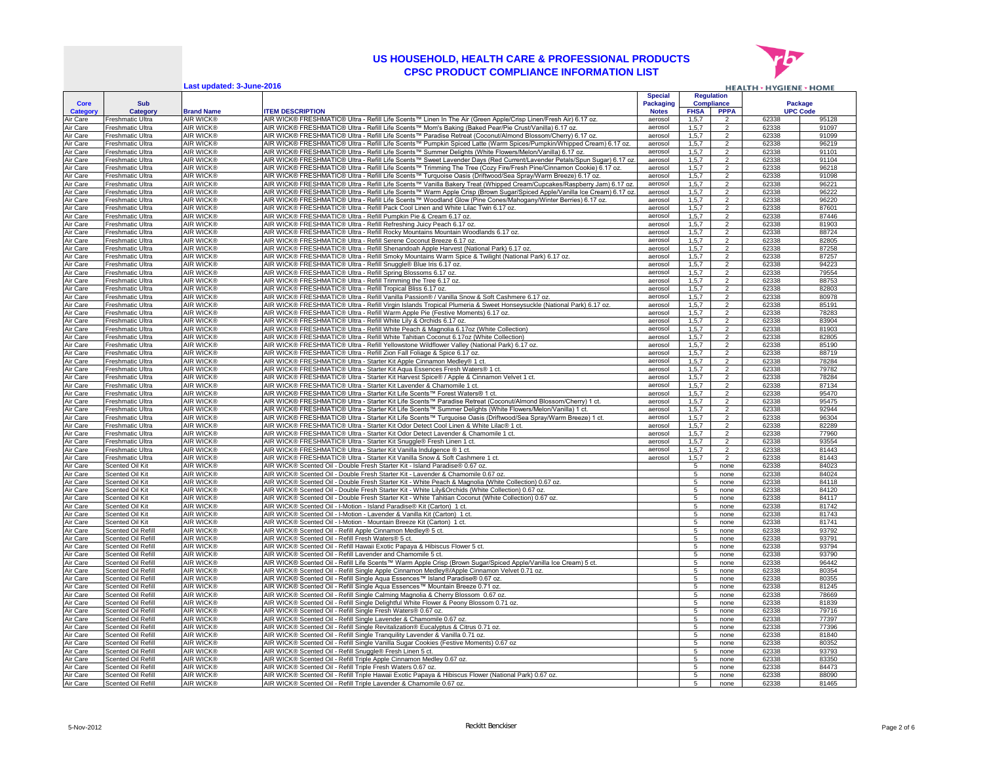

|                      |                                          | Last updated: 3-June-2016            |                                                                                                                                                                                                                                 |                    |                    |                                  | <b>HEALTH &gt; HYGIENE &gt; HOME</b> |                 |
|----------------------|------------------------------------------|--------------------------------------|---------------------------------------------------------------------------------------------------------------------------------------------------------------------------------------------------------------------------------|--------------------|--------------------|----------------------------------|--------------------------------------|-----------------|
|                      |                                          |                                      |                                                                                                                                                                                                                                 | <b>Special</b>     |                    | <b>Regulation</b>                |                                      |                 |
| Core                 | Sub                                      |                                      |                                                                                                                                                                                                                                 | <b>Packaging</b>   |                    | Compliance                       |                                      | Package         |
| Category             | Category                                 | <b>Brand Name</b>                    | <b>TEM DESCRIPTION</b>                                                                                                                                                                                                          | <b>Notes</b>       | <b>FHSA</b>        | <b>PPPA</b>                      |                                      | <b>UPC Code</b> |
| Air Care             | Freshmatic Ultra                         | <b>AIR WICK®</b>                     | AIR WICK® FRESHMATIC® Ultra - Refill Life Scents™ Linen In The Air (Green Apple/Crisp Linen/Fresh Air) 6.17 oz.                                                                                                                 | aerosol            | 1, 5, 7            | $\mathcal{P}$                    | 62338                                | 95128           |
| Air Care             | Freshmatic Ultra                         | <b>AIR WICK®</b>                     | AIR WICK® FRESHMATIC® Ultra - Refill Life Scents™ Mom's Baking (Baked Pear/Pie Crust/Vanilla) 6.17 oz.                                                                                                                          | aerosol            | 1, 5, 7            | $\overline{2}$                   | 62338                                | 91097           |
| Air Care             | Freshmatic Ultra                         | <b>AIR WICK®</b>                     | AIR WICK® FRESHMATIC® Ultra - Refill Life Scents™ Paradise Retreat (Coconut/Almond Blossom/Cherry) 6.17 oz.                                                                                                                     | aerosol            | 1, 5, 7            | $\overline{2}$                   | 62338                                | 91099           |
| Air Care<br>Air Care | Freshmatic Ultra<br>Freshmatic Ultra     | <b>AIR WICK®</b><br><b>AIR WICK®</b> | AIR WICK® FRESHMATIC® Ultra - Refill Life Scents™ Pumpkin Spiced Latte (Warm Spices/Pumpkin/Whipped Cream) 6.17 oz.<br>AIR WICK® FRESHMATIC® Ultra - Refill Life Scents™ Summer Delights (White Flowers/Melon/Vanilla) 6.17 oz. | aerosol<br>aerosol | 1, 5, 7<br>1.5.7   | $\overline{2}$<br>$\overline{2}$ | 62338<br>62338                       | 96219<br>91101  |
| Air Care             | Freshmatic Ultra                         | AIR WICK®                            | AIR WICK® FRESHMATIC® Ultra - Refill Life Scents™ Sweet Lavender Days (Red Current/Lavender Petals/Spun Sugar) 6.17 oz.                                                                                                         | aerosol            | 1, 5, 7            | $\overline{2}$                   | 62338                                | 91104           |
| Air Care             | reshmatic Ultra                          | <b>AIR WICK®</b>                     | AIR WICK® FRESHMATIC® Ultra - Refill Life Scents™ Trimming The Tree (Cozy Fire/Fresh Pine/Cinnamon Cookie) 6.17 oz.                                                                                                             | aerosol            | 1, 5, 7            | $\overline{2}$                   | 62338                                | 96218           |
| Air Care             | reshmatic Ultra                          | AIR WICK®                            | AIR WICK® FRESHMATIC® Ultra - Refill Life Scents™ Turquoise Oasis (Driftwood/Sea Spray/Warm Breeze) 6.17 oz.                                                                                                                    | aerosol            | 1, 5, 7            | $\overline{2}$                   | 62338                                | 91098           |
| Air Care             | reshmatic Ultra                          | AIR WICK®                            | AIR WICK® FRESHMATIC® Ultra - Refill Life Scents™ Vanilla Bakery Treat (Whipped Cream/Cupcakes/Raspberry Jam) 6.17 oz.                                                                                                          | aerosol            | 1, 5, 7            | $\overline{2}$                   | 62338                                | 96221           |
| <b>Air Care</b>      | reshmatic Ultra                          | AIR WICK®                            | AIR WICK® FRESHMATIC® Ultra - Refill Life Scents™ Warm Apple Crisp (Brown Sugar/Spiced Apple/Vanilla Ice Cream) 6.17 oz.                                                                                                        | aerosol            | 1, 5, 7            | $\overline{2}$                   | 62338                                | 96222           |
| Air Care             | Freshmatic Ultra                         | AIR WICK®                            | AIR WICK® FRESHMATIC® Ultra - Refill Life Scents™ Woodland Glow (Pine Cones/Mahogany/Winter Berries) 6.17 oz.                                                                                                                   | aerosol            | 1, 5, 7            | $\overline{2}$                   | 62338                                | 96220           |
| <b>\ir Care</b>      | reshmatic Ultra                          | AIR WICK®                            | AIR WICK® FRESHMATIC® Ultra - Refill Pack Cool Linen and White Lilac Twin 6.17 oz.                                                                                                                                              | aerosol            | 1, 5, 7            | $\mathfrak{p}$                   | 62338                                | 87601           |
| Air Care             | Freshmatic Ultra                         | AIR WICK®                            | AIR WICK® FRESHMATIC® Ultra - Refill Pumpkin Pie & Cream 6.17 oz.                                                                                                                                                               | aerosol            | 1, 5, 7            | $\overline{2}$                   | 62338                                | 87446           |
| Air Care             | Freshmatic Ultra                         | <b>AIR WICK®</b>                     | AIR WICK® FRESHMATIC® Ultra - Refill Refreshing Juicy Peach 6.17 oz.<br>AIR WICK® FRESHMATIC® Ultra - Refill Rocky Mountains Mountain Woodlands 6.17 oz.                                                                        | aerosol            | 1, 5, 7            | 2<br>$\overline{2}$              | 62338                                | 81903           |
| Air Care<br>Air Care | Freshmatic Ultra<br>Freshmatic Ultra     | AIR WICK®<br>AIR WICK®               | AIR WICK® FRESHMATIC® Ultra - Refill Serene Coconut Breeze 6.17 oz.                                                                                                                                                             | aerosol<br>aerosol | 1, 5, 7<br>1, 5, 7 | $\overline{2}$                   | 62338<br>62338                       | 88724<br>82805  |
| Air Care             | Freshmatic Ultra                         | AIR WICK®                            | AIR WICK® FRESHMATIC® Ultra - Refill Shenandoah Apple Harvest (National Park) 6.17 oz.                                                                                                                                          | aerosol            | 1, 5, 7            | $\overline{2}$                   | 62338                                | 87258           |
| \ir Care             | Freshmatic Ultra                         | AIR WICK®                            | AIR WICK® FRESHMATIC® Ultra - Refill Smoky Mountains Warm Spice & Twilight (National Park) 6.17 oz.                                                                                                                             | aerosol            | 1, 5, 7            | $\overline{2}$                   | 62338                                | 87257           |
| Air Care             | Freshmatic Ultra                         | AIR WICK®                            | AIR WICK® FRESHMATIC® Ultra - Refill Snuggle® Blue Iris 6.17 oz.                                                                                                                                                                | aerosol            | 1, 5, 7            | $\overline{2}$                   | 62338                                | 94223           |
| Air Care             | Freshmatic Ultra                         | <b>AIR WICK®</b>                     | AIR WICK® FRESHMATIC® Ultra - Refill Spring Blossoms 6.17 oz                                                                                                                                                                    | aerosol            | 1, 5, 7            | $\overline{2}$                   | 62338                                | 79554           |
| Air Care             | Freshmatic Ultra                         | <b>AIR WICK®</b>                     | AIR WICK® FRESHMATIC® Ultra - Refill Trimming the Tree 6.17 oz.                                                                                                                                                                 | aerosol            | 1, 5, 7            | $\overline{2}$                   | 62338                                | 88753           |
| Air Care             | Freshmatic Ultra                         | <b>AIR WICK®</b>                     | AIR WICK® FRESHMATIC® Ultra - Refill Tropical Bliss 6.17 oz.                                                                                                                                                                    | aerosol            | 1, 5, 7            | $\overline{2}$                   | 62338                                | 82803           |
| Air Care             | Freshmatic Ultra                         | AIR WICK®                            | AIR WICK® FRESHMATIC® Ultra - Refill Vanilla Passion® / Vanilla Snow & Soft Cashmere 6.17 oz.                                                                                                                                   | aerosol            | 1, 5, 7            | $\overline{2}$                   | 62338                                | 80978           |
| Air Care             | Freshmatic Ultra<br>Freshmatic Ultra     | <b>AIR WICK®</b><br><b>AIR WICK®</b> | AIR WICK® FRESHMATIC® Ultra - Refill Virgin Islands Tropical Plumeria & Sweet Honseysuckle (National Park) 6.17 oz.                                                                                                             | aerosol<br>aerosol | 1.5.7              | $\overline{2}$<br>$\overline{a}$ | 62338                                | 85191           |
| Air Care<br>Air Care | Freshmatic Ultra                         | AIR WICK®                            | AIR WICK® FRESHMATIC® Ultra - Refill Warm Apple Pie (Festive Moments) 6.17 oz.<br>AIR WICK® FRESHMATIC® Ultra - Refill White Lily & Orchids 6.17 oz.                                                                            | aerosol            | 1,5,7<br>1.5.7     | $\overline{2}$                   | 62338<br>62338                       | 78283<br>83904  |
| Air Care             | Freshmatic Ultra                         | <b>AIR WICK®</b>                     | AIR WICK® FRESHMATIC® Ultra - Refill White Peach & Magnolia 6.17oz (White Collection)                                                                                                                                           | aerosol            | 1, 5, 7            | $\overline{2}$                   | 62338                                | 81903           |
| Air Care             | Freshmatic Ultra                         | <b>AIR WICK®</b>                     | AIR WICK® FRESHMATIC® Ultra - Refill White Tahitian Coconut 6.17oz (White Collection)                                                                                                                                           | aerosol            | 1, 5, 7            | $\overline{2}$                   | 62338                                | 82805           |
| <b>Air Care</b>      | Freshmatic Ultra                         | <b>AIR WICK®</b>                     | AIR WICK® FRESHMATIC® Ultra - Refill Yellowstone Wildflower Valley (National Park) 6.17 oz.                                                                                                                                     | aerosol            | 1, 5, 7            | $\mathfrak{p}$                   | 62338                                | 85190           |
| Air Care             | Freshmatic Ultra                         | AIR WICK®                            | AIR WICK® FRESHMATIC® Ultra - Refill Zion Fall Foliage & Spice 6.17 oz.                                                                                                                                                         | aerosol            | 1, 5, 7            | $\overline{c}$                   | 62338                                | 88719           |
| Air Care             | Freshmatic Ultra                         | <b>AIR WICK®</b>                     | AIR WICK® FRESHMATIC® Ultra - Starter Kit Apple Cinnamon Medley® 1 ct                                                                                                                                                           | aerosol            | 1, 5, 7            | $\overline{2}$                   | 62338                                | 78284           |
| Air Care             | Freshmatic Ultra                         | AIR WICK®                            | AIR WICK® FRESHMATIC® Ultra - Starter Kit Aqua Essences Fresh Waters® 1 ct.                                                                                                                                                     | aerosol            | 1,5,7              | $\overline{2}$                   | 62338                                | 79782           |
| Air Care             | Freshmatic Ultra                         | AIR WICK®                            | AIR WICK® FRESHMATIC® Ultra - Starter Kit Harvest Spice® / Apple & Cinnamon Velvet 1 ct.                                                                                                                                        | aerosol            | 1,5,7              | $\overline{2}$                   | 62338                                | 78284           |
| Air Care<br>Air Care | Freshmatic Ultra<br>Freshmatic Ultra     | AIR WICK®<br>AIR WICK®               | AIR WICK® FRESHMATIC® Ultra - Starter Kit Lavender & Chamomile 1 ct.<br>AIR WICK® FRESHMATIC® Ultra - Starter Kit Life Scents™ Forest Waters® 1 ct.                                                                             | aerosol<br>aerosol | 1, 5, 7<br>1, 5, 7 | 2<br>$\overline{2}$              | 62338<br>62338                       | 87134<br>95470  |
| Air Care             | Freshmatic Ultra                         | AIR WICK®                            | AIR WICK® FRESHMATIC® Ultra - Starter Kit Life Scents™ Paradise Retreat (Coconut/Almond Blossom/Cherry) 1 ct.                                                                                                                   | aerosol            | 1, 5, 7            | $\overline{2}$                   | 62338                                | 95475           |
| Air Care             | Freshmatic Ultra                         | AIR WICK®                            | AIR WICK® FRESHMATIC® Ultra - Starter Kit Life Scents™ Summer Delights (White Flowers/Melon/Vanilla) 1 ct.                                                                                                                      | aerosol            | 1, 5, 7            | $\overline{2}$                   | 62338                                | 92944           |
| Air Care             | Freshmatic Ultra                         | AIR WICK®                            | AIR WICK® FRESHMATIC® Ultra - Starter Kit Life Scents™ Turquoise Oasis (Driftwood/Sea Spray/Warm Breeze) 1 ct.                                                                                                                  | aerosol            | 1, 5, 7            | 2                                | 62338                                | 96304           |
| Air Care             | Freshmatic Ultra                         | AIR WICK®                            | AIR WICK® FRESHMATIC® Ultra - Starter Kit Odor Detect Cool Linen & White Lilac® 1 ct.                                                                                                                                           | aerosol            | 1, 5, 7            | $\overline{2}$                   | 62338                                | 82289           |
| Air Care             | Freshmatic Ultra                         | AIR WICK®                            | AIR WICK® FRESHMATIC® Ultra - Starter Kit Odor Detect Lavender & Chamomile 1 ct.                                                                                                                                                | aerosol            | 1, 5, 7            | $\overline{c}$                   | 62338                                | 77960           |
| Air Care             | Freshmatic Ultra                         | AIR WICK®                            | AIR WICK® FRESHMATIC® Ultra - Starter Kit Snuggle® Fresh Linen 1 ct.                                                                                                                                                            | aerosol            | 1, 5, 7            | $\overline{c}$                   | 62338                                | 93554           |
| Air Care             | Freshmatic Ultra                         | <b>AIR WICK®</b>                     | AIR WICK® FRESHMATIC® Ultra - Starter Kit Vanilla Indulgence ® 1 ct.                                                                                                                                                            | aerosol            | 1, 5, 7            | $\overline{2}$                   | 62338                                | 81443           |
| Air Care             | Freshmatic Ultra                         | <b>AIR WICK®</b>                     | AIR WICK® FRESHMATIC® Ultra - Starter Kit Vanilla Snow & Soft Cashmere 1 ct.                                                                                                                                                    | aerosol            | 1, 5, 7            | $\overline{2}$                   | 62338                                | 81443           |
| Air Care<br>Air Care | Scented Oil Kit<br>Scented Oil Kit       | <b>AIR WICK®</b><br><b>AIR WICK®</b> | AIR WICK® Scented Oil - Double Fresh Starter Kit - Island Paradise® 0.67 oz.<br>AIR WICK® Scented Oil - Double Fresh Starter Kit - Lavender & Chamomile 0.67 oz.                                                                |                    | 5<br>5             | none<br>none                     | 62338<br>62338                       | 84023<br>84024  |
| Air Care             | Scented Oil Kit                          | <b>AIR WICK®</b>                     | AIR WICK® Scented Oil - Double Fresh Starter Kit - White Peach & Magnolia (White Collection) 0.67 oz.                                                                                                                           |                    | $\overline{5}$     | none                             | 62338                                | 84118           |
| Air Care             | Scented Oil Kit                          | <b>AIR WICK®</b>                     | AIR WICK® Scented Oil - Double Fresh Starter Kit - White Lily&Orchids (White Collection) 0.67 oz.                                                                                                                               |                    | 5                  | none                             | 62338                                | 84120           |
| Air Care             | Scented Oil Kit                          | <b>AIR WICK®</b>                     | AIR WICK® Scented Oil - Double Fresh Starter Kit - White Tahitian Coconut (White Collection) 0.67 oz.                                                                                                                           |                    | 5                  | none                             | 62338                                | 84117           |
| Air Care             | Scented Oil Kit                          | AIR WICK®                            | AIR WICK® Scented Oil - I-Motion - Island Paradise® Kit (Carton) 1 ct.                                                                                                                                                          |                    | 5                  | none                             | 62338                                | 81742           |
| Air Care             | Scented Oil Kit                          | <b>AIR WICK®</b>                     | AIR WICK® Scented Oil - I-Motion - Lavender & Vanilla Kit (Carton) 1 ct.                                                                                                                                                        |                    | 5                  | none                             | 62338                                | 81743           |
| Air Care             | Scented Oil Kit                          | AIR WICK®                            | AIR WICK® Scented Oil - I-Motion - Mountain Breeze Kit (Carton) 1 ct.                                                                                                                                                           |                    | 5                  | none                             | 62338                                | 81741           |
| Air Care             | Scented Oil Refil                        | AIR WICK®                            | AIR WICK® Scented Oil - Refill Apple Cinnamon Medley® 5 ct.                                                                                                                                                                     |                    | 5                  | none                             | 62338                                | 93792           |
| Air Care             | Scented Oil Refill                       | AIR WICK®                            | AIR WICK® Scented Oil - Refill Fresh Waters® 5 ct.                                                                                                                                                                              |                    | 5                  | none                             | 62338                                | 93791           |
| Air Care<br>Air Care | Scented Oil Refill<br>Scented Oil Refill | AIR WICK®<br>AIR WICK®               | AIR WICK® Scented Oil - Refill Hawaii Exotic Papaya & Hibiscus Flower 5 ct.<br>AIR WICK® Scented Oil - Refill Lavender and Chamomile 5 ct.                                                                                      |                    | 5                  | none                             | 62338<br>62338                       | 93794<br>93790  |
| Air Care             | Scented Oil Refill                       | AIR WICK®                            | AIR WICK® Scented Oil - Refill Life Scents™ Warm Apple Crisp (Brown Sugar/Spiced Apple/Vanilla Ice Cream) 5 ct.                                                                                                                 |                    | 5<br>5             | none<br>none                     | 62338                                | 96442           |
| Air Care             | Scented Oil Refill                       | AIR WICK®                            | AIR WICK® Scented Oil - Refill Single Apple Cinnamon Medley®/Apple Cinnamon Velvet 0.71 oz                                                                                                                                      |                    | 5                  | none                             | 62338                                | 80354           |
| Air Care             | Scented Oil Refill                       | AIR WICK®                            | AIR WICK® Scented Oil - Refill Single Aqua Essences™ Island Paradise® 0.67 oz.                                                                                                                                                  |                    | 5                  | none                             | 62338                                | 80355           |
| Air Care             | <b>Scented Oil Refill</b>                | <b>AIR WICK®</b>                     | AIR WICK® Scented Oil - Refill Single Aqua Essences™ Mountain Breeze 0.71 oz.                                                                                                                                                   |                    | 5                  | none                             | 62338                                | 81245           |
| Air Care             | Scented Oil Refill                       | AIR WICK®                            | AIR WICK® Scented Oil - Refill Single Calming Magnolia & Cherry Blossom 0.67 oz                                                                                                                                                 |                    | 5                  | none                             | 62338                                | 78669           |
| Air Care             | Scented Oil Refill                       | <b>AIR WICK®</b>                     | AIR WICK® Scented Oil - Refill Single Delightful White Flower & Peony Blossom 0.71 oz                                                                                                                                           |                    | 5                  | none                             | 62338                                | 81839           |
| Air Care             | Scented Oil Refill                       | AIR WICK®                            | AIR WICK® Scented Oil - Refill Single Fresh Waters® 0.67 oz.                                                                                                                                                                    |                    | 5                  | none                             | 62338                                | 79716           |
| Air Care             | <b>Scented Oil Refill</b>                | <b>AIR WICK®</b>                     | AIR WICK® Scented Oil - Refill Single Lavender & Chamomile 0.67 oz.                                                                                                                                                             |                    | 5                  | none                             | 62338                                | 77397           |
| Air Care             | Scented Oil Refill<br>Scented Oil Refill | AIR WICK®<br><b>AIR WICK®</b>        | AIR WICK® Scented Oil - Refill Single Revitalization® Eucalyptus & Citrus 0.71 oz.                                                                                                                                              |                    | 5<br>5             | none                             | 62338<br>62338                       | 77396<br>81840  |
| Air Care<br>Air Care | Scented Oil Refill                       | AIR WICK®                            | AIR WICK® Scented Oil - Refill Single Tranquility Lavender & Vanilla 0.71 oz.<br>AIR WICK® Scented Oil - Refill Single Vanilla Sugar Cookies (Festive Moments) 0.67 oz                                                          |                    | 5                  | none<br>none                     | 62338                                | 80352           |
| Air Care             | Scented Oil Refill                       | <b>AIR WICK®</b>                     | AIR WICK® Scented Oil - Refill Snuggle® Fresh Linen 5 ct.                                                                                                                                                                       |                    | 5                  | none                             | 62338                                | 93793           |
| Air Care             | Scented Oil Refill                       | <b>AIR WICK®</b>                     | AIR WICK® Scented Oil - Refill Triple Apple Cinnamon Medley 0.67 oz.                                                                                                                                                            |                    | $\overline{5}$     | none                             | 62338                                | 83350           |
| Air Care             | Scented Oil Refill                       | <b>AIR WICK®</b>                     | AIR WICK® Scented Oil - Refill Triple Fresh Waters 0.67 oz.                                                                                                                                                                     |                    | 5                  | none                             | 62338                                | 84473           |
| Air Care             | Scented Oil Refill                       | <b>AIR WICK®</b>                     | AIR WICK® Scented Oil - Refill Triple Hawaii Exotic Papaya & Hibiscus Flower (National Park) 0.67 oz                                                                                                                            |                    | 5                  | none                             | 62338                                | 88090           |
| Air Care             | Scented Oil Refill                       | AIR WICK®                            | AIR WICK® Scented Oil - Refill Triple Lavender & Chamomile 0.67 oz.                                                                                                                                                             |                    | 5                  | none                             | 62338                                | 81465           |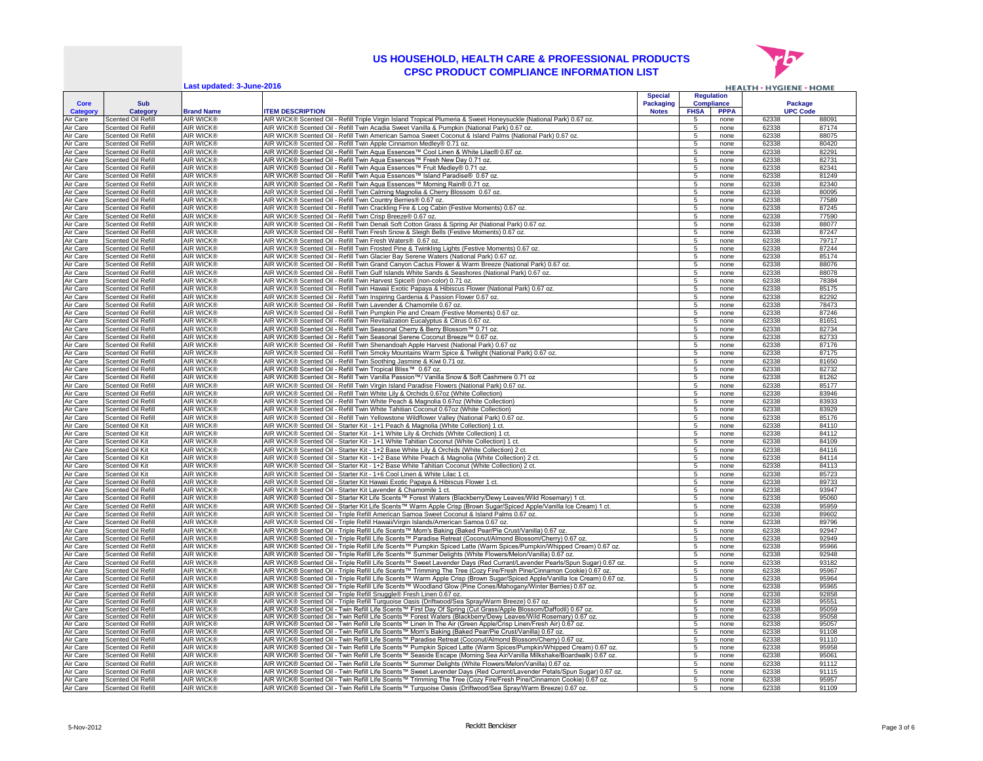

**Last updated: 3-June-2016 HEALTH > HYGIENE > HOME Special Regulation Compliance Package Core Sub Packaging UPC Code Category Category Brand Name ITEM DESCRIPTION Notes FHSA PPPA** Air Care Scented Oil Refill AIR WICK® AIR WICK® Scented Oil - Refill Triple Virgin Island Tropical Plumeria & Sweet Honeysuckle (National Park) 0.67 oz. 5 none 62338 88091 Air Care Scented Oil Refill AIR WICK® AIR WICK® Scented Oil - Refill Twin Acadia Sweet Vanilla & Pumpkin (National Park) 0.67 oz. 5 none | 62338 | 87174 Air Care Scented Oil Refill AIR WICK® AIR WICK® Scented Oil - Refill Twin American Samoa Sweet Coconut & Island Palms (National Park) 0.67 oz. 5 none 62338 88075<br>Air Care Scented Oil Refill AIR WICK® AIR WICK® Scented Oil Air Care Scented Oil Refill AIR WICK® AIR WICK® Scented Oil - Refill Twin Apple Cinnamon Medley® 0.71 oz. 5 none 62338 80420<br>Air Care Scented Oil Refill AIR WICK® AIR WICK® Scented Oil - Refill Twin Agua Essences™ Cool Li Scented Oil Refill AIR WICK® AIR WICK® Scented Oil - Refill Twin Aqua Essences™ Cool Linen & White Lilac® 0.67 oz.<br>Scented Oil Refill AIR WICK® AIR WICK® Scented Oil - Refill Twin Aqua Essences™ Fresh New Day 0.71 oz. 627 Air Care Scented Oil Refill AIR WICK® AIR WICK® Scented Oil - Refill Twin Aqua Essences™ Fresh New Day 0.71 oz.<br>Air Care Scented Oil Refill AIR WICK® AIR WICK® Scented Oil - Refill Twin Aqua Essences™ Fruit Medlev® 0.71 o Air Care Scented Oil Refill AIR WICK® AIR WICK® Scented Oil - Refill Twin Aqua Essences™ Fruit Medley® 0.71 oz.<br>Air Care Scented Oil Refill AIR WICK® AIR WICK® Scented Oil - Refill Twin Aqua Essences™ Island Paradise® 0.6 Air Care Scented Oil Refill AIR WICK® AIR WICK® Scented Oil - Refill Twin Aqua Essences™ Island Paradise® 0.67 oz. Second All Refill Twin Aqua Essences™ Island Paradise® 0.67 oz. Second Oil - 6 none 62338 81249 81249 8124 Air Care Scented Oil Refill AIR WICK® AIR WICK® Scented Oil - Refill Twin Aqua Essences™ Morning Rain® 0.71 oz. 5 none 62338 82340 82340 82340 82340 82340 82340 80095 6 100 8 12340 80095 6 12340 80095 6 12340 80095 6 1233 Air Care Scented Oil Refill AIR WICK® AIR WICK® Scented Oil - Refill Twin Calming Magnolia & Cherry Blossom 0.67 oz.<br>Air Care Scented Oil Refill AIR WICK® AIR WICK® Scented Oil - Refill Twin Country Berries® 0.67 oz. 5 non Air Care Scented Oil Refill AIR WICK® AIR WICK® Scented Oil - Refill Twin Country Berries® 0.67 oz. 5 none 1 62338 77589<br>Air Care Scented Oil Refill AIR WICK® AIR WICK® Scented Oil - Refill Twin Crackling Fire & Log Cabin Air Care Scented Oil Refill AIR WICK® AIR WICK® Scented Oil - Refill Twin Crackling Fire & Log Cabin (Festive Moments) 0.67 oz. 5 none 52338 Air Care Scented Oil Refill AIR WICK® AIR WICK® Scented Oil - Refill Twin Crisp Breeze® 0.67 oz. 5 none 62338 f 77590 77590 Air Care Scented Oil Refill AIR WICK® AIR WICK® Scented Oil - Refill Twin Denali Soft Cotton Grass & Spring Air (National Park) 0.67 oz. 5 none 1 62338 88077<br>Air Care Scented Oil Refill AIR WICK® AIR WICK® Scented Oil - Re Air Care Scented Oil Refill AIR WICK® AIR WICK® Scented Oil - Refill Twin Fresh Snow & Sleigh Bells (Festive Moments) 0.67 oz. 5 none 162338 87247<br>Air Care Scented Oil Refill AIR WICK® AIR WICK® Scented Oil - Refill Twin F Air Care Scented Oil Refill AIR WICK® AIR WICK® Scented Oil - Refill Twin Fresh Waters® 0.67 oz. 5 none 1 none 62338 79717 Air Care Scented Oil Refill AIR WICK® AIR WICK® Scented Oil - Refill Twin Frosted Pine & Twinkling Lights (Festive Moments) 0.67 oz. 5 none in 62338 87244 Air Care Scented Oil Refill AIR WICK® AIR WICK® Scented Oil - Refill Twin Glacier Bay Serene Waters (National Park) 0.67 oz. 5 none 62338 85174 Air Care Scented Oil Refill AIR WICK® AIR WICK® Scented Oil - Refill Twin Grand Canyon Cactus Flower & Warm Breeze (National Park) 0.67 oz. 15 none 62338 88076 Air Care Scented Oil Refill AIR WICK® AIR WICK® Scented Oil - Refill Twin Gulf Islands White Sands & Seashores (National Park) 0.67 oz. 5 none 62338 88078 Air Care Scented Oil Refill AIR WICK® AIR WICK® Scented Oil - Refill Twin Harvest Spice® (non-color) 0.71 oz. 5 none 62338 78384 78384<br>Air Care Scented Oil Refill AIR WICK® AIR WICK® Scented Oil - Refill Twin Hawaii Exotic AIR WICK® AIR WICK® Scented Oil - Refill Twin Hawaii Exotic Papaya & Hibiscus Flower (National Park) 0.67 oz. 5 none 5 none 62338 85175<br>AIR WICK® AIR WICK® Scented Oil - Refill Twin Inspiring Gardenia & Passion Flower 0.67 Air Care Scented Oil Refill AIR WICK® AIR WICK® Scented Oil - Refill Twin Inspiring Gardenia & Passion Flower 0.67 oz. 5 none 62338 82292 Air Care Scented Oil Refill AIR WICK® AIR WICK® Scented Oil - Refill Twin Lavender & Chamomile 0.67 oz. 5 none 62338 78473 78473 78473 78473 78473 78473 78473 78473 78473 78473 78473 78473 78473 78473 78473 78473 78473 784 Air Care Scented Oil Refill AIR WICK® AIR WICK® Scented Oil - Refill Twin Pumpkin Pie and Cream (Festive Moments) 0.67 oz. 5 none 62338 87246 Air Care Scented Oil Refill AIR WICK® AIR WICK® Scented Oil - Refill Twin Revitalization Eucalyptus & Citrus 0.67 oz. Show and the server all the server all the server all the server all the server all the server all the s Air Care Scented Oil Refill AIR WICK® AIR WICK® Scented Oil - Refill Twin Seasonal Cherry & Berry Blossom™ 0.71 oz. 5 none | 62338 | 82734 | 82734 Air Care Scented Oil Refill AIR WICK® AIR WICK® Scented Oil - Refill Twin Seasonal Serene Coconut Breeze™ 0.67 oz. 5 none 1 62338 82733<br>Air Care Scented Oil Refill AIR WICK® AIR WICK® Scented Oil - Refill Twin Shenandoah Air Care Scented Oil Refill AIR WICK® AIR WICK® Scented Oil - Refill Twin Shenandoah Apple Harvest (National Park) 0.67 oz 5 none 62338 87176 Air Care Scented Oil Refill AIR WICK® AIR WICK® Scented Oil - Refill Twin Smoky Mountains Warm Spice & Twilight (National Park) 0.67 oz. 5 none 62338 87175 Air Care Scented Oil Refill | AIR WICK® | AIR WICK® Scented Oil - Refill Twin Soothing Jasmine & Kiwi 0.71 oz. 5 none | 62338 | 62338 | 81650 Air Care Scented Oil Refill AIR WICK® AIR WICK® Scented Oil - Refill Twin Tropical Bliss™ 0.67 oz. 5 none 62338 82732 82732 82732<br>Air Care Scented Oil Refill AIR WICK® AIR WICK® Scented Oil - Refill Twin Vanilla Passion™/ AIR WICK® Scented Oil - Refill Twin Vanilla Passion™/ Vanilla Snow & Soft Cashmere 0.71 oz Air Care Scented Oil Refill AIR WICK® AIR WICK® Scented Oil - Refill Twin Virgin Island Paradise Flowers (National Park) 0.67 oz. 5 none 162338 85177<br>Air Care Scented Oil Refill AIR WICK® AIR WICK® Scented Oil - Refill Twi Air Care Scented Oil Refill AIR WICK® AIR WICK® Scented Oil - Refill Twin White Lily & Orchids 0.67oz (White Collection) 5 none 62338 8338<br>Air Care Scented Oil Refill AIR WICK® AIR WICK® Scented Oil - Refill Twin White Pea Air Care Scented Oil Refill AIR WICK® AIR WICK® Scented Oil - Refill Twin White Peach & Magnolia 0.67oz (White Collection) 62338 1 1000 1 62338 83933 Air Care Scented Oil Refill AIR WICK® AIR WICK® Scented Oil - Refill Twin White Tahitian Coconut 0.67oz (White Collection) 5 none 62338 83929 Air Care Scented Oil Refill AIR WICK® AIR WICK® Scented Oil - Refill Twin Yellowstone Wildflower Valley (National Park) 0.67 oz. Air Care Scented Oil Kit AIR WICK® AIR WICK® Scented Oil - Starter Kit - 1+1 Peach & Magnolia (White Collection) 1 ct. 5 none 62338 84110 Air Care Scented Oil Kit AIR WICK® AIR WICK® Scented Oil - Starter Kit - 1+1 White Lily & Orchids (White Collection) 1 ct. **1999 12: 1999 12: 1999 12: 1999 12: 1999 12: 1999 12: 1999 12: 1999 12: 1999 12: 1999 12: 1999 12:** Air Care Scented Oil Kit AIR WICK® AIR WICK® Scented Oil - Starter Kit - 1+1 White Tahitian Coconut (White Collection) 1 ct. 5 none 62338 84109 Air Care Scented Oil Kit AIR WICK® AIR WICK® Scented Oil - Starter Kit - 1+2 Base White Lily & Orchids (White Collection) 2 ct. [5] Care R4116 Air Care Scented Oil Kit AIR WICK® AIR ANR WICK® Scented Oil - Starter Kit - 1+2 Base White Peach & Magnolia (White Collection) 2 ct. 5 none 62:338 84114<br>Air Care Scented Oil Kit AIR WICK® AIR WICK® Scented Oil - Starter K Air Care Scented Oil Kit AIR WICK® AIR WICK® Scented Oil - Starter Kit - 1+2 Base White Tahitian Coconut (White Collection) 2 ct. Care Collection and Care Collection and Care of the Guide of the Starter Air - 1+2 Base Whit Air Care Scented Oil Kit AIR WICK® AIR WICK® Scented Oil - Starter Kit - 1+6 Cool Linen & White Lilac 1 ct. Chare Comment Care is a starter Kit - 1 chare is a starter Kit - 1+6 Cool Linen & White Lilac 1 ct. Chare Comment Air Care Scented Oil Refill AIR WICK® AIR WICK® Scented Oil - Starter Kit Hawaii Exotic Papaya & Hibiscus Flower 1 ct. None 1 ct. 5 none 62338 89733 89733<br>Air Care Scented Oil Refill AIR WICK® AIR WICK® Scented Oil - Start Scented Oil Refill AIR WICK® AIR WICK® Scented Oil - Starter Kit Lavender & Chamomile 1 ct. 6 none 6338 93847 93847 93847 93847 93847 93847 93847 93847 93847 93847 93847 93847 93847 93847 93847 93847 93847 93847 93847 9384 Air Care Scented Oil Refill AIR WICK® AIR WICK® Scented Oil - Starter Kit Life Scents™ Forest Waters (Blackberry/Dewy Leaves/Wild Rosemary) 1 ct. 1 5 none 62338 95060<br>Air Care Scented Oil Refill AIR WICK® AIR WICK® Scente Air Care Scented Oil Refill AIR WICK® AIR WICK® Scented Oil - Starter Kit Life Scents™ Warm Apple Crisp (Brown Sugar/Spiced Apple/Vanilla Ice Cream) 1 ct. 1 5 none 62338 95959 95959 95959<br>Air Care Scented Oil Refill AIR W Air Care Scented Oil Refill AIR WICK® AIR WICK® Scented Oil - Triple Refill American Samoa Sweet Coconut & Island Palms 0.67 oz. 5 none 62338 89602 Air Care Scented Oil Refill AIR WICK® AIR WICK® Scented Oil - Triple Refill Hawaii/Virgin Islands/American Samoa 0.67 oz. 5 none 62338 89796 Air Care Scented Oil Refill AIR WICK® AIR WICK® Scented Oil - Triple Refill Life Scents™ Mom's Baking (Baked Pear/Pie Crust/Vanilla) 0.67 oz. 5 none 62338 92947 Air Care Scented Oil Refill AIR WICK® AIR WICK® Scented Oil - Triple Refill Life Scents™ Paradise Retreat (Coconut/Almond Blossom/Cherry) 0.67 oz. 5 none 62338 62338 92949 Air Care Scented Oil Refill AIR WICK® AIR WICK® Scented Oil - Triple Refill Life Scents™ Pumpkin Spiced Latte (Warm Spices/Pumpkin/Whipped Cream) 0.67 oz. | 5 none 62338 95966<br>Air Care Scented Oil Refill AIR WICK® AIR WIC Air Care Scented Oil Refill AIR WICK® AIR WICK® Scented Oil - Triple Refill Life Scents™ Summer Delights (White Flowers/Melon/Vanilla) 0.67 oz. | 5 | none | 62338 Nir Care Scented Oil Refill AIR WICK® AIR WICK® Scented Oil - Triple Refill Life Scents™ Sweet Lavender Days (Red Currant/Lavender Pearls/Spun Sugar) 0.67 oz. 5 none 62338 93182<br>Nir Care Scented Oil Refill AIR WICK® AIR W Air Care Scented Oil Refill AIR WICK® AIR WICK® Scented Oil - Triple Refill Life Scents™ Trimming The Tree (Cozy Fire/Fresh Pine/Cinnamon Cookie) 0.67 oz. 5 none 62338 95967<br>Air Care Scented Oil Refill AIR WICK® AIR WICK® Air Care Scented Oil Refill AIR WICK® AIR WICK® Scented Oil - Triple Refill Life Scents™ Warm Apple Crisp (Brown Sugar/Spiced Apple/Vanilla Ice Cream) 0.67 oz. 5 none Air Care Scented Oil Refill AIR WICK® AIR WICK® Scented Oil - Triple Refill I ife Scents™ Woodland Glow (Pine Cones/Mahogany/Winter Berries) 0.67 oz. 5 none 62338 95338 95965 Air Care Scented Oil Refill AIR WICK® AIR WICK® Scented Oil - Triple Refill Snuggle® Fresh Linen 0.67 oz. 5 none 1988 92588 92658 92688 9268<br>Air Care Scented Oil Refill AIR WICK® AIR WICK® Scented Oil - Triple Refill Turqu Air Care Scented Oil Refill AIR WICK® AIR WICK® Scented Oil - Triple Refill Turquoise Oasis (Driftwood/Sea Spray/Warm Breeze) 0.67 oz. 5 none 62338 95551 95551<br>Air Care Scented Oil Refill AIR WICK® AIR WICK® Scented Oil -Air Care Scented Oil Refill AIR WICK® AIR WICK® Scented Oil - Twin Refill Life Scents™ First Day Of Spring (Cut Grass/Apple Blossom/Daffodil) 0.67 oz. 5 none 62338 95059 95059<br>Air Care Scented Oil Refill AIR WICK® AIR WIC Air Care Scented Oil Refill AIR WICK® AIR WICK® Scented Oil-Twin Refill Life Scents™ Forest Waters (Blackberry/Dewy Leaves/Wild Rosemary) 0.67 oc. 5 none 62338 9505<br>Air Care Scented Di Refill AIR WICK® AIR WICK® Scented O Air Care Scented Oil Refill AIR WICK® AIR WICK® Scented Oil - Twin Refill Life Scents™ Linen In The Air (Green Apple/Crisp Linen/Fresh Air) 0.67 oz. 5 none 1 62338 95057<br>Air Care Scented Oil Refill AIR WICK® AIR WICK® Sce Air Care Scented Oil Refill AIR WICK® AIR WICK® Scented Oil - Twin Refill Life Scents™ Mom's Baking (Baked Pear/Pie Crust/Vanilla) 0.67 oz. 5 none 62338 91108<br>Air Care Scented Oil Refill AIR WICK® AIR WICK® Scented Oil - Air Care Scented Oil Refill AIR WICK® AIR WICK® Scented Oil - Twin Refill Life Scents™ Paradise Retreat (Coconut/Almond Blossom/Cherry) 0.67 oz. 5 none 62338 91110<br>Air Care Scented Oil Refill AIR WICK® AIR WICK® Scented O Air Care Scented Oil Refill AIR WICK® AIR WICK® Scented Oil - Twin Refill Life Scents™ Pumpkin Spiced Latte (Warm Spices/Pumpkin/Whipped Cream) 0.67 oz. 5 none 62338 Air Care Scented Oil Refill AIR WICK® AIR WICK® Scented Oil - Twin Refill Life Scents™ Seaside Escape (Morning Sea Air/Vanilla Milkshake/Boardwalk) 0.67 oz. | 5 none 62338 95061<br>Air Care Scented Oil Refill AIR WICK® AIR W Air Care Scented Oil Refill AIR WICK® AIR WICK® Scented Oil - Twin Refill Life Scents™ Summer Delights (White Flowers/Melon/Vanilla) 0.67 oz. 5 none 62338 91112<br>Air Care Scented Oil Refill AIR WICK® AIR WICK® Scented Oil AIR WICK® Scented Oil - Twin Refill Life Scents™ Sweet Lavender Days (Red Current/Lavender Petals/Spun Sugar) 0.67 oz. Air Care Scented Oil Refill AIR WICK® AIR WICK® Scented Oil - Twin Refill Life Scents™ Trimming The Tree (Cozy Fire/Fresh Pine/Cinnamon Cookie) 0.67 oz. | 5 | none | 62338 | 95957 Air Care Scented Oil Refill AIR WICK® AIR WICK® Scented Oil - Twin Refill Life Scents™ Turquoise Oasis (Driftwood/Sea Spray/Warm Breeze) 0.67 oz. | 5 | none | 62338 | 91109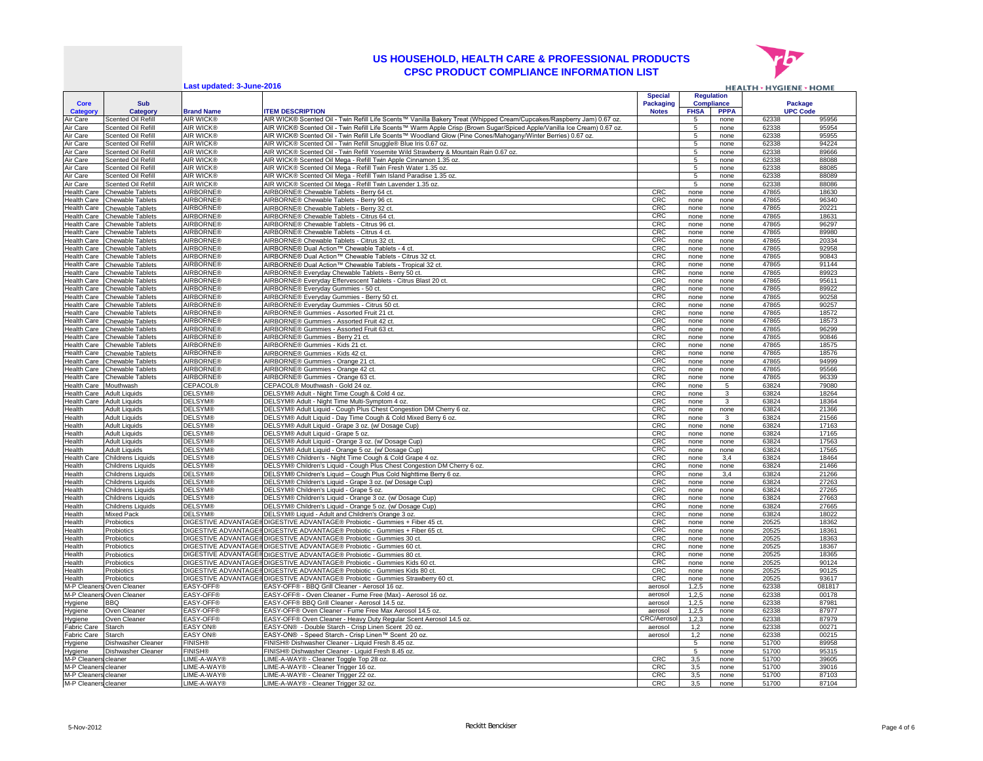

|                                   |                                        | Last updated: 3-June-2016            |                                                                                                                                              |                |                 |                   | <b>HEALTH &gt; HYGIENE &gt; HOME</b> |                 |
|-----------------------------------|----------------------------------------|--------------------------------------|----------------------------------------------------------------------------------------------------------------------------------------------|----------------|-----------------|-------------------|--------------------------------------|-----------------|
|                                   |                                        |                                      |                                                                                                                                              | <b>Special</b> |                 | <b>Regulation</b> |                                      |                 |
| Core                              | Sub                                    |                                      |                                                                                                                                              | Packaging      |                 | <b>Compliance</b> |                                      | Package         |
| <b>Category</b>                   | Category                               | <b>Brand Name</b>                    | <b>ITEM DESCRIPTION</b>                                                                                                                      | <b>Notes</b>   | <b>FHSA</b>     | <b>PPPA</b>       |                                      | <b>UPC Code</b> |
| Air Care                          | <b>Scented Oil Refill</b>              | <b>AIR WICK®</b>                     | AIR WICK® Scented Oil - Twin Refill Life Scents™ Vanilla Bakery Treat (Whipped Cream/Cupcakes/Raspberry Jam) 0.67 oz.                        |                | 5               | none              | 62338                                | 95956           |
| Air Care                          | Scented Oil Refill                     | <b>AIR WICK®</b>                     | AIR WICK® Scented Oil - Twin Refill Life Scents™ Warm Apple Crisp (Brown Sugar/Spiced Apple/Vanilla Ice Cream) 0.67 oz.                      |                | 5               | none              | 62338                                | 95954           |
| Air Care                          | Scented Oil Refill                     | <b>AIR WICK®</b>                     | AIR WICK® Scented Oil - Twin Refill Life Scents™ Woodland Glow (Pine Cones/Mahogany/Winter Berries) 0.67 oz.                                 |                | 5               | none              | 62338                                | 95955           |
| Air Care                          | Scented Oil Refill                     | <b>AIR WICK®</b>                     | AIR WICK® Scented Oil - Twin Refill Snuggle® Blue Iris 0.67 oz.                                                                              |                | 5               | none              | 62338                                | 94224           |
| Air Care                          | Scented Oil Refill                     | <b>AIR WICK®</b>                     | AIR WICK® Scented Oil - Twin Refill Yosemite Wild Strawberry & Mountain Rain 0.67 oz.                                                        |                | 5               | none              | 62338                                | 89666           |
| Air Care                          | Scented Oil Refill                     | AIR WICK®                            | AIR WICK® Scented Oil Mega - Refill Twin Apple Cinnamon 1.35 oz.                                                                             |                | 5               | none              | 62338                                | 88088           |
| Air Care                          | Scented Oil Refill                     | <b>AIR WICK®</b>                     | AIR WICK® Scented Oil Mega - Refill Twin Fresh Water 1.35 oz.                                                                                |                | 5               | none              | 62338                                | 88085           |
| Air Care                          | Scented Oil Refill                     | AIR WICK®                            | AIR WICK® Scented Oil Mega - Refill Twin Island Paradise 1.35 oz.                                                                            |                | 5               | none              | 62338                                | 88089           |
| Air Care                          | Scented Oil Refill                     | <b>AIR WICK®</b>                     | AIR WICK® Scented Oil Mega - Refill Twin Lavender 1.35 oz.                                                                                   |                | 5               | none              | 62338                                | 88086           |
| <b>Health Care</b>                | Chewable Tablets                       | <b>AIRBORNE®</b>                     | AIRBORNE® Chewable Tablets - Berry 64 ct.                                                                                                    | CRC            | none            | none              | 47865                                | 18630           |
| Health Care                       | Chewable Tablets                       | <b>AIRBORNE®</b>                     | AIRBORNE® Chewable Tablets - Berry 96 ct.                                                                                                    | CRC            | none            | none              | 47865                                | 96340           |
| Health Care                       | Chewable Tablets                       | <b>AIRBORNE®</b>                     | AIRBORNE® Chewable Tablets - Berry 32 ct.                                                                                                    | CRO            | none            | none              | 47865                                | 20221           |
| <b>Health Care</b>                | Chewable Tablets                       | <b>AIRBORNE®</b>                     | AIRBORNE® Chewable Tablets - Citrus 64 ct.                                                                                                   | CRC            | none            | none              | 47865                                | 18631           |
| <b>Health Care</b>                | Chewable Tablets                       | <b>AIRBORNE®</b>                     | AIRBORNE® Chewable Tablets - Citrus 96 ct                                                                                                    | CRC            | none            | none              | 47865                                | 96297           |
| Health Care                       | hewable Tablets                        | <b>AIRBORNE®</b><br><b>AIRBORNE®</b> | AIRBORNE® Chewable Tablets - Citrus 4 ct.                                                                                                    | CRC<br>CRC     | none            | none              | 47865                                | 89980<br>20334  |
| <b>Health Care</b>                | Chewable Tablets                       | <b>AIRBORNE®</b>                     | AIRBORNE® Chewable Tablets - Citrus 32 ct                                                                                                    | CRC            | none            | none              | 47865<br>47865                       | 92958           |
| Health Care<br><b>Health Care</b> | Chewable Tablets<br>Chewable Tablets   | <b>AIRBORNE®</b>                     | AIRBORNE® Dual Action™ Chewable Tablets - 4 ct<br>AIRBORNE® Dual Action™ Chewable Tablets - Citrus 32 ct                                     | CRC            | none<br>none    | none<br>none      | 47865                                | 90843           |
| Health Care                       | Chewable Tablets                       | AIRBORNE®                            | AIRBORNE® Dual Action™ Chewable Tablets - Tropical 32 ct                                                                                     | CRC            | none            | none              | 47865                                | 91144           |
| Health Care                       | Chewable Tablets                       | <b>AIRBORNE®</b>                     | AIRBORNE® Everyday Chewable Tablets - Berry 50 ct                                                                                            | CRC            | none            | none              | 47865                                | 89923           |
| Health Care                       | Chewable Tablets                       | <b>AIRBORNE®</b>                     | AIRBORNE® Everyday Effervescent Tablets - Citrus Blast 20 ct.                                                                                | CRC            | none            | none              | 47865                                | 95611           |
| <b>Health Care</b>                | Chewable Tablets                       | <b>NRBORNE®</b>                      | AIRBORNE® Everyday Gummies - 50 ct                                                                                                           | CRC            | none            | none              | 47865                                | 89922           |
| Health Care                       | Chewable Tablets                       | <b>NRBORNE®</b>                      | AIRBORNE® Everyday Gummies - Berry 50 ct                                                                                                     | CRC            | none            | none              | 47865                                | 90258           |
| Health Care                       | Chewable Tablets                       | <b>AIRBORNE®</b>                     | AIRBORNE® Everyday Gummies - Citrus 50 ct                                                                                                    | CRC            | none            | none              | 47865                                | 90257           |
| <b>Health Care</b>                | Chewable Tablets                       | <b>AIRBORNE®</b>                     | AIRBORNE® Gummies - Assorted Fruit 21 ct.                                                                                                    | CRC            | none            | none              | 47865                                | 18572           |
| <b>Health Care</b>                | Chewable Tablets                       | <b>AIRBORNE®</b>                     | AIRBORNE® Gummies - Assorted Fruit 42 ct                                                                                                     | CRC            | none            | none              | 47865                                | 18573           |
| <b>Health Care</b>                | <b>Chewable Tablets</b>                | <b>AIRBORNE®</b>                     | AIRBORNE® Gummies - Assorted Fruit 63 ct.                                                                                                    | CRC            | none            | none              | 47865                                | 96299           |
| Health Care                       | Chewable Tablets                       | <b>AIRBORNE®</b>                     | AIRBORNE® Gummies - Berry 21 ct.                                                                                                             | CRC            | none            | none              | 47865                                | 90846           |
| <b>Health Care</b>                | Chewable Tablets                       | <b>AIRBORNE®</b>                     | AIRBORNE® Gummies - Kids 21 ct                                                                                                               | CRC            | none            | none              | 47865                                | 18575           |
| Health Care                       | <b>Chewable Tablets</b>                | <b>AIRBORNE®</b>                     | AIRBORNE® Gummies - Kids 42 ct                                                                                                               | CRC            | none            | none              | 47865                                | 18576           |
| <b>Health Care</b>                | Chewable Tablets                       | <b>AIRBORNE®</b>                     | AIRBORNE® Gummies - Orange 21 ct                                                                                                             | CRC            | none            | none              | 47865                                | 94999           |
| <b>Health Care</b>                | <b>Chewable Tablets</b>                | <b>AIRBORNE®</b>                     | AIRBORNE® Gummies - Orange 42 ct                                                                                                             | CRC            | none            | none              | 47865                                | 95566           |
| <b>Health Care</b>                | <b>Chewable Tablets</b>                | <b>AIRBORNE®</b>                     | AIRBORNE® Gummies - Orange 63 ct.                                                                                                            | CRC            | none            | none              | 47865                                | 96339           |
| Health Care                       | Mouthwash                              | <b>CEPACOL®</b>                      | CEPACOL® Mouthwash - Gold 24 oz.                                                                                                             | CRC            | none            | 5                 | 63824                                | 79080           |
| Health Care                       | <b>Adult Liquids</b>                   | <b>DELSYM®</b>                       | DELSYM® Adult - Night Time Cough & Cold 4 oz.                                                                                                | CRC            | none            | 3                 | 63824                                | 18264           |
| <b>Health Care</b>                | <b>Adult Liquids</b>                   | <b>DELSYM®</b>                       | DELSYM® Adult - Night Time Multi-Symptom 4 oz.                                                                                               | CRC            | none            | $\mathbf{3}$      | 63824                                | 18364           |
| Health                            | Adult Liquids                          | <b>DELSYM®</b>                       | DELSYM® Adult Liquid - Cough Plus Chest Congestion DM Cherry 6 oz.                                                                           | CRC            | none            | none              | 63824                                | 21366           |
| Health                            | <b>Adult Liquids</b>                   | <b>DELSYM®</b>                       | DELSYM® Adult Liquid - Day Time Cough & Cold Mixed Berry 6 oz.                                                                               | CRC            | none            | 3                 | 63824                                | 21566           |
| Health                            | <b>Adult Liquids</b>                   | <b>DELSYM®</b>                       | DELSYM® Adult Liquid - Grape 3 oz. (w/ Dosage Cup)                                                                                           | CRC            | none            | none              | 63824                                | 17163           |
| Health                            | <b>Adult Liquids</b>                   | <b>DELSYM®</b>                       | DELSYM® Adult Liquid - Grape 5 oz.                                                                                                           | CRC            | none            | none              | 63824                                | 17165           |
| Health                            | <b>Adult Liquids</b>                   | <b>DELSYM®</b>                       | DELSYM® Adult Liquid - Orange 3 oz. (w/ Dosage Cup)                                                                                          | CRC            | none            | none              | 63824                                | 17563           |
| Health                            | <b>Adult Liquids</b>                   | <b>DELSYM®</b>                       | DELSYM® Adult Liquid - Orange 5 oz. (w/ Dosage Cup)                                                                                          | CRC            | none            | none              | 63824                                | 17565           |
| Health Care                       | Childrens Liquids                      | <b>DELSYM®</b>                       | DELSYM® Children's - Night Time Cough & Cold Grape 4 oz.                                                                                     | CRC            | none            | 3,4               | 63824                                | 18464           |
| Health<br>Health                  | Childrens Liquids                      | <b>DELSYM®</b><br><b>DELSYM®</b>     | DELSYM® Children's Liquid - Cough Plus Chest Congestion DM Cherry 6 oz.<br>DELSYM® Children's Liquid - Cough Plus Cold Nighttime Berry 6 oz. | CRC<br>CRC     | none            | none              | 63824<br>63824                       | 21466<br>21266  |
|                                   | <b>Childrens Liquids</b>               | <b>DELSYM®</b>                       |                                                                                                                                              | CRC            | none            | 3,4               | 63824                                | 27263           |
| Health<br>Health                  | Childrens Liquids<br>Childrens Liquids | <b>DELSYM®</b>                       | DELSYM® Children's Liquid - Grape 3 oz. (w/ Dosage Cup)<br>DELSYM® Children's Liquid - Grape 5 oz                                            | CRC            | none<br>none    | none<br>none      | 63824                                | 27265           |
| Health                            | Childrens Liquids                      | <b>DELSYM®</b>                       | DELSYM® Children's Liquid - Orange 3 oz. (w/ Dosage Cup)                                                                                     | CRC            | none            | none              | 63824                                | 27663           |
| Health                            | <b>Childrens Liquids</b>               | <b>DELSYM®</b>                       | DELSYM® Children's Liquid - Orange 5 oz. (w/ Dosage Cup)                                                                                     | CRC            | none            | none              | 63824                                | 27665           |
| Health                            | Mixed Pack                             | <b>DELSYM®</b>                       | DELSYM® Liquid - Adult and Children's Orange 3 oz.                                                                                           | CRC            | none            | none              | 63824                                | 18022           |
| Health                            | Probiotics                             |                                      | DIGESTIVE ADVANTAGE@DIGESTIVE ADVANTAGE@ Probiotic - Gummies + Fiber 45 ct.                                                                  | CRC            | none            | none              | 20525                                | 18362           |
| Health                            | Probiotics                             | <b>DIGESTIVE ADVANTAGE®</b>          | DIGESTIVE ADVANTAGE® Probiotic - Gummies + Fiber 65 ct.                                                                                      | CRC            | none            | none              | 20525                                | 18361           |
| Health                            | Probiotics                             | <b>DIGESTIVE ADVANTAGE®</b>          | DIGESTIVE ADVANTAGE® Probiotic - Gummies 30 ct.                                                                                              | CRC            | none            | none              | 20525                                | 18363           |
| Health                            | Probiotics                             | <b>DIGESTIVE ADVANTAGE®</b>          | DIGESTIVE ADVANTAGE® Probiotic - Gummies 60 ct.                                                                                              | CRC            | none            | none              | 20525                                | 18367           |
| Health                            | Probiotics                             | DIGESTIVE ADVANTAGE®                 | DIGESTIVE ADVANTAGE® Probiotic - Gummies 80 ct.                                                                                              | CRC            | none            | none              | 20525                                | 18365           |
| Health                            | Probiotics                             | DIGESTIVE ADVANTAGE®                 | DIGESTIVE ADVANTAGE® Probiotic - Gummies Kids 60 ct                                                                                          | CRC            | none            | none              | 20525                                | 90124           |
| Health                            | Probiotics                             | DIGESTIVE ADVANTAGE®                 | DIGESTIVE ADVANTAGE® Probiotic - Gummies Kids 80 ct.                                                                                         | CRC            | none            | none              | 20525                                | 90125           |
| Health                            | Probiotics                             | DIGESTIVE ADVANTAGE®                 | DIGESTIVE ADVANTAGE® Probiotic - Gummies Strawberry 60 ct.                                                                                   | CRC            | none            | none              | 20525                                | 93617           |
| M-P Cleaners                      | Oven Cleaner                           | EASY-OFF®                            | EASY-OFF® - BBQ Grill Cleaner - Aerosol 16 oz.                                                                                               | aerosol        | 1,2,5           | none              | 62338                                | 081817          |
|                                   | M-P Cleaners Oven Cleaner              | EASY-OFF®                            | EASY-OFF® - Oven Cleaner - Fume Free (Max) - Aerosol 16 oz.                                                                                  | aerosol        | 1,2,5           | none              | 62338                                | 00178           |
| Hygiene                           | <b>BBQ</b>                             | EASY-OFF®                            | EASY-OFF® BBQ Grill Cleaner - Aerosol 14.5 oz                                                                                                | aerosol        | 1,2,5           | none              | 62338                                | 87981           |
| Hygiene                           | Oven Cleaner                           | EASY-OFF®                            | EASY-OFF® Oven Cleaner - Fume Free Max Aerosol 14.5 oz.                                                                                      | aerosol        | 1,2,5           | none              | 62338                                | 87977           |
| Hygiene                           | Oven Cleaner                           | <b>EASY-OFF®</b>                     | EASY-OFF® Oven Cleaner - Heavy Duty Regular Scent Aerosol 14.5 oz.                                                                           | CRC/Aeroso     | 1,2,3           | none              | 62338                                | 87979           |
| <b>Fabric Care</b>                | Starch                                 | <b>EASY ON®</b>                      | EASY-ON® - Double Starch - Crisp Linen Scent 20 oz                                                                                           | aerosol        | 1,2             | none              | 62338                                | 00271           |
| <b>Fabric Care</b>                | Starch                                 | <b>EASY ON®</b>                      | EASY-ON® - Speed Starch - Crisp Linen™ Scent 20 oz.                                                                                          | aerosol        | 1,2             | none              | 62338                                | 00215           |
| Hygiene                           | Dishwasher Cleaner                     | <b>FINISH®</b>                       | FINISH® Dishwasher Cleaner - Liquid Fresh 8.45 oz.                                                                                           |                | $5\overline{)}$ | none              | 51700                                | 89958           |
| Hygiene                           | Dishwasher Cleaner                     | <b>FINISH®</b>                       | INISH® Dishwasher Cleaner - Liquid Fresh 8.45 oz.                                                                                            |                | $5\overline{)}$ | none              | 51700                                | 95315           |
| M-P Cleaners                      | cleaner                                | IME-A-WAY®                           | IME-A-WAY® - Cleaner Toggle Top 28 oz                                                                                                        | CRC            | 3,5             | none              | 51700                                | 39605           |
| M-P Cleaners                      | cleaner                                | LIME-A-WAY®                          | IME-A-WAY® - Cleaner Trigger 16 oz                                                                                                           | CRC            | 3,5             | none              | 51700                                | 39016           |
| M-P Cleaners cleaner              |                                        | LIME-A-WAY®                          | LIME-A-WAY® - Cleaner Trigger 22 oz.                                                                                                         | CRC            | 3,5             | none              | 51700                                | 87103           |
| M-P Cleaners cleaner              |                                        | LIME-A-WAY®                          | IME-A-WAY® - Cleaner Trigger 32 oz                                                                                                           | CRC            | 3,5             | none              | 51700                                | 87104           |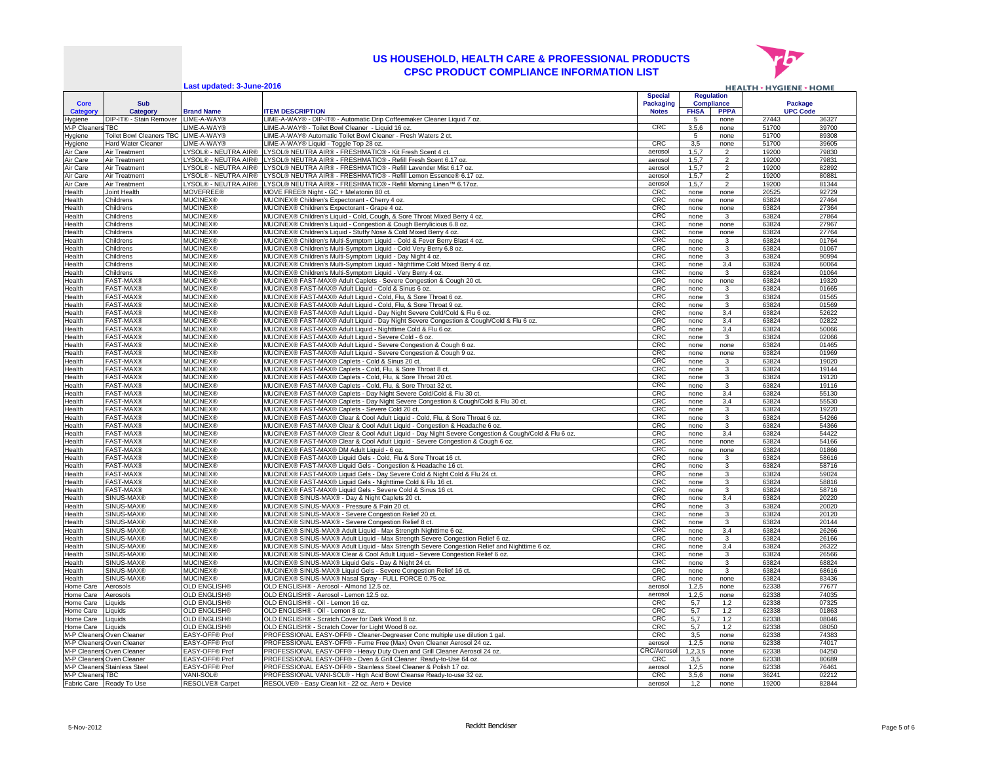

**Last updated: 3-June-2016**

|                         |                                      | Last updated: 3-June-2016                    |                                                                                                                                                                                       |                                  |                  |                                  | <b>HEALTH &gt; HYGIENE &gt; HOME</b> |                |
|-------------------------|--------------------------------------|----------------------------------------------|---------------------------------------------------------------------------------------------------------------------------------------------------------------------------------------|----------------------------------|------------------|----------------------------------|--------------------------------------|----------------|
|                         |                                      |                                              |                                                                                                                                                                                       | <b>Special</b>                   |                  | <b>Regulation</b>                |                                      |                |
| <b>Core</b><br>Category | Sub<br><b>Category</b>               | <b>Brand Name</b>                            | <b>ITEM DESCRIPTION</b>                                                                                                                                                               | <b>Packaging</b><br><b>Notes</b> | <b>FHSA</b>      | <b>Compliance</b><br><b>PPPA</b> | Package<br><b>UPC Code</b>           |                |
| Hygiene                 | DIP-IT® - Stain Remover              | LIME-A-WAY®                                  | LIME-A-WAY® - DIP-IT® - Automatic Drip Coffeemaker Cleaner Liquid 7 oz.                                                                                                               |                                  | 5                | none                             | 27443                                | 36327          |
| M-P Cleaner             | <b>TRC</b>                           | LIME-A-WAY®                                  | LIME-A-WAY® - Toilet Bowl Cleaner - Liquid 16 oz                                                                                                                                      | CRC                              | 3,5,6            | none                             | 51700                                | 39700          |
| Hygiene                 | Toilet Bowl Cleaners TBC LIME-A-WAY® |                                              | LIME-A-WAY® Automatic Toilet Bowl Cleaner - Fresh Waters 2 ct.                                                                                                                        |                                  | 5                | none                             | 51700                                | 89308          |
| Hygiene                 | Hard Water Cleaner                   | LIME-A-WAY®                                  | LIME-A-WAY® Liquid - Toggle Top 28 oz                                                                                                                                                 | <b>CRC</b>                       | 3,5              | none                             | 51700                                | 39605          |
| Air Care                | Air Treatment                        | LYSOL® - NEUTRA AIR®                         | LYSOL® NEUTRA AIR® - FRESHMATIC® - Kit Fresh Scent 4 ct.                                                                                                                              | aerosol                          | 1, 5, 7          | $\mathcal{P}$                    | 19200                                | 79830          |
| Air Care<br>Air Care    | Air Treatment                        | LYSOL® - NEUTRA AIR®<br>LYSOL® - NEUTRA AIR® | LYSOL® NEUTRA AIR® - FRESHMATIC® - Refill Fresh Scent 6.17 oz.<br>LYSOL® NEUTRA AIR® - FRESHMATIC® - Refill Lavender Mist 6.17 oz                                                     | aerosol                          | 1, 5, 7<br>1,5,7 | $\overline{2}$<br>$\overline{2}$ | 19200<br>19200                       | 79831<br>82892 |
| Air Care                | Air Treatment<br>Air Treatment       | LYSOL® - NEUTRA AIR®                         | YSOL® NEUTRA AIR® - FRESHMATIC® - Refill Lemon Essence® 6.17 oz                                                                                                                       | aerosol<br>aerosol               | 1.5.7            | $\mathcal{P}$                    | 19200                                | 80881          |
| Air Care                | Air Treatment                        | LYSOL® - NEUTRA AIR®                         | LYSOL® NEUTRA AIR® - FRESHMATIC® - Refill Morning Linen™ 6.17oz                                                                                                                       | aerosol                          | 1, 5, 7          | $\mathcal{P}$                    | 19200                                | 81344          |
| Health                  | Joint Health                         | <b>MOVEFREE®</b>                             | MOVE FREE® Night - GC + Melatonin 80 ct.                                                                                                                                              | <b>CRC</b>                       | none             | none                             | 20525                                | 92729          |
| Health                  | Childrens                            | <b>MUCINEX®</b>                              | MUCINEX® Children's Expectorant - Cherry 4 oz                                                                                                                                         | <b>CRC</b>                       | none             | none                             | 63824                                | 27464          |
| Health                  | Childrens                            | <b>MUCINEX®</b>                              | MUCINEX® Children's Expectorant - Grape 4 oz.                                                                                                                                         | CRC                              | none             | none                             | 63824                                | 27364          |
| Health                  | Childrens                            | <b>MUCINEX®</b>                              | MUCINEX® Children's Liquid - Cold, Cough, & Sore Throat Mixed Berry 4 oz.                                                                                                             | CRC                              | none             | $\mathcal{R}$                    | 63824                                | 27864          |
| Health                  | Childrens<br>Childrens               | <b>MUCINEX®</b><br><b>MUCINEX®</b>           | MUCINEX® Children's Liquid - Congestion & Cough Berrylicious 6.8 oz.                                                                                                                  | <b>CRC</b><br>CRC                | none<br>none     | none<br>none                     | 63824<br>63824                       | 27967<br>27764 |
| Health<br>Health        | Childrens                            | <b>MUCINEX®</b>                              | MUCINEX® Children's Liquid - Stuffy Nose & Cold Mixed Berry 4 oz.<br>MUCINEX® Children's Multi-Symptom Liquid - Cold & Fever Berry Blast 4 oz.                                        | CRC                              | none             | 3                                | 63824                                | 01764          |
| Health                  | Childrens                            | <b>MUCINEX®</b>                              | MUCINEX® Children's Multi-Symptom Liquid - Cold Very Berry 6.8 oz.                                                                                                                    | CRC                              | none             | $\mathcal{R}$                    | 63824                                | 01067          |
| Health                  | Childrens                            | <b>MUCINEX®</b>                              | MUCINEX® Children's Multi-Symptom Liquid - Day Night 4 oz.                                                                                                                            | CRC                              | none             | $\mathbf{B}$                     | 63824                                | 90994          |
| Health                  | Childrens                            | <b>MUCINEX®</b>                              | MUCINEX® Children's Multi-Symptom Liquid - Nighttime Cold Mixed Berry 4 oz.                                                                                                           | CRC                              | none             | 3.4                              | 63824                                | 60064          |
| Health                  | Childrens                            | <b>MUCINEX®</b>                              | MUCINEX® Children's Multi-Symptom Liquid - Very Berry 4 oz.                                                                                                                           | CRC                              | none             | $\mathcal{R}$                    | 63824                                | 01064          |
| Health                  | <b>FAST-MAX®</b>                     | <b>MUCINEX®</b>                              | MUCINEX® FAST-MAX® Adult Caplets - Severe Congestion & Cough 20 ct.                                                                                                                   | CRC                              | none             | none                             | 63824                                | 19320          |
| Health                  | <b>FAST-MAX®</b>                     | <b>MUCINEX®</b>                              | MUCINEX® FAST-MAX® Adult Liquid - Cold & Sinus 6 oz.                                                                                                                                  | CRC                              | none             |                                  | 63824                                | 01665          |
| Health<br>Health        | FAST-MAX®<br><b>FAST-MAX®</b>        | <b>MUCINEX®</b><br><b>MUCINEX®</b>           | MUCINEX® FAST-MAX® Adult Liquid - Cold, Flu, & Sore Throat 6 oz.<br>MUCINEX® FAST-MAX® Adult Liquid - Cold, Flu, & Sore Throat 9 oz                                                   | CRC<br>CRC                       | none<br>none     | 3<br>3                           | 63824<br>63824                       | 01565<br>01569 |
| Health                  | <b>FAST-MAX®</b>                     | <b>MUCINEX®</b>                              | MUCINEX® FAST-MAX® Adult Liquid - Day Night Severe Cold/Cold & Flu 6 oz                                                                                                               | <b>CRC</b>                       | none             | 3.4                              | 63824                                | 52622          |
| Health                  | <b>FAST-MAX®</b>                     | <b>MUCINEX®</b>                              | MUCINEX® FAST-MAX® Adult Liquid - Day Night Severe Congestion & Cough/Cold & Flu 6 oz.                                                                                                | CRC                              | none             | 3,4                              | 63824                                | 02822          |
| Health                  | <b>FAST-MAX®</b>                     | <b>MUCINEX®</b>                              | MUCINEX® FAST-MAX® Adult Liquid - Nighttime Cold & Flu 6 oz.                                                                                                                          | CRC                              | none             | 3,4                              | 63824                                | 50066          |
| Health                  | <b>FAST-MAX®</b>                     | <b>MUCINEX®</b>                              | MUCINEX® FAST-MAX® Adult Liquid - Severe Cold - 6 oz.                                                                                                                                 | CRC                              | none             |                                  | 63824                                | 02066          |
| Health                  | <b>FAST-MAX®</b>                     | <b>MUCINEX®</b>                              | MUCINEX® FAST-MAX® Adult Liquid - Severe Congestion & Cough 6 oz.                                                                                                                     | CRC                              | none             | none                             | 63824                                | 01465          |
| Health                  | <b>FAST-MAX®</b>                     | <b>MUCINEX®</b>                              | MUCINEX® FAST-MAX® Adult Liquid - Severe Congestion & Cough 9 oz.                                                                                                                     | CRC                              | none             | none                             | 63824                                | 01969          |
| Health                  | <b>FAST-MAX®</b><br><b>FAST-MAX®</b> | <b>MUCINEX®</b><br><b>MUCINEX®</b>           | MUCINEX® FAST-MAX® Caplets - Cold & Sinus 20 ct.<br>MUCINEX® FAST-MAX® Caplets - Cold, Flu, & Sore Throat 8 ct.                                                                       | CRC<br>CRC                       | none             | 3<br>3                           | 63824<br>63824                       | 19020<br>19144 |
| Health<br>Health        | <b>FAST-MAX®</b>                     | <b>MUCINEX®</b>                              | MUCINEX® FAST-MAX® Caplets - Cold, Flu, & Sore Throat 20 ct.                                                                                                                          | <b>CRC</b>                       | none<br>none     | 3                                | 63824                                | 19120          |
| Health                  | <b>FAST-MAX®</b>                     | <b>MUCINEX®</b>                              | MUCINEX® FAST-MAX® Caplets - Cold, Flu, & Sore Throat 32 ct.                                                                                                                          | CRC                              | none             | 3                                | 63824                                | 19116          |
| Health                  | FAST-MAX®                            | <b>MUCINEX®</b>                              | MUCINEX® FAST-MAX® Caplets - Day Night Severe Cold/Cold & Flu 30 ct.                                                                                                                  | CRC                              | none             | 3,4                              | 63824                                | 55130          |
| Health                  | <b>FAST-MAX®</b>                     | <b>MUCINEX®</b>                              | MUCINEX® FAST-MAX® Caplets - Day Night Severe Congestion & Cough/Cold & Flu 30 ct.                                                                                                    | CRC                              | none             | 3,4                              | 63824                                | 55530          |
| Health                  | <b>FAST-MAX®</b>                     | <b>MUCINEX®</b>                              | MUCINEX® FAST-MAX® Caplets - Severe Cold 20 ct.                                                                                                                                       | CRC                              | none             | 3                                | 63824                                | 19220          |
| Health                  | <b>FAST-MAX®</b>                     | <b>MUCINEX®</b>                              | MUCINEX® FAST-MAX® Clear & Cool Adult Liquid - Cold, Flu, & Sore Throat 6 oz.                                                                                                         | CRC                              | none             | 3                                | 63824                                | 54266          |
| Health                  | <b>FAST-MAX®</b><br><b>FAST-MAX®</b> | <b>MUCINEX®</b>                              | MUCINEX® FAST-MAX® Clear & Cool Adult Liquid - Congestion & Headache 6 oz                                                                                                             | CRC                              | none             | 3                                | 63824                                | 54366<br>54422 |
| Health<br>Health        | FAST-MAX®                            | <b>MUCINEX®</b><br><b>MUCINEX®</b>           | MUCINEX® FAST-MAX® Clear & Cool Adult Liquid - Day Night Severe Congestion & Cough/Cold & Flu 6 oz.<br>MUCINEX® FAST-MAX® Clear & Cool Adult Liquid - Severe Congestion & Cough 6 oz. | CRC<br>CRC                       | none<br>none     | 3,4<br>none                      | 63824<br>63824                       | 54166          |
| Health                  | FAST-MAX®                            | <b>MUCINEX®</b>                              | MUCINEX® FAST-MAX® DM Adult Liquid - 6 oz.                                                                                                                                            | CRC                              | none             | none                             | 63824                                | 01866          |
| Health                  | <b>FAST-MAX®</b>                     | <b>MUCINEX®</b>                              | MUCINEX® FAST-MAX® Liquid Gels - Cold, Flu & Sore Throat 16 ct.                                                                                                                       | CRC                              | none             | 3                                | 63824                                | 58616          |
| Health                  | FAST-MAX®                            | <b>MUCINEX®</b>                              | MUCINEX® FAST-MAX® Liquid Gels - Congestion & Headache 16 ct                                                                                                                          | CRC                              | none             | 3                                | 63824                                | 58716          |
| Health                  | <b>FAST-MAX®</b>                     | <b>MUCINEX®</b>                              | MUCINEX® FAST-MAX® Liquid Gels - Day Severe Cold & Night Cold & Flu 24 ct.                                                                                                            | CRC                              | none             | 3                                | 63824                                | 59024          |
| Health                  | <b>FAST-MAX®</b>                     | <b>MUCINEX®</b>                              | MUCINEX® FAST-MAX® Liquid Gels - Nighttime Cold & Flu 16 ct.                                                                                                                          | CRC                              | none             | 3                                | 63824                                | 58816          |
| Health<br>Health        | FAST-MAX®<br>SINUS-MAX®              | <b>MUCINEX®</b><br><b>MUCINEX®</b>           | MUCINEX® FAST-MAX® Liquid Gels - Severe Cold & Sinus 16 ct.<br>MUCINEX® SINUS-MAX® - Day & Night Caplets 20 ct.                                                                       | CRC<br>CRC                       | none             | 3<br>3,4                         | 63824<br>63824                       | 58716<br>20220 |
| Health                  | SINUS-MAX®                           | <b>MUCINEX®</b>                              | MUCINEX® SINUS-MAX® - Pressure & Pain 20 ct.                                                                                                                                          | CRC                              | none<br>none     | 3                                | 63824                                | 20020          |
| Health                  | SINUS-MAX®                           | <b>MUCINEX®</b>                              | MUCINEX® SINUS-MAX® - Severe Congestion Relief 20 ct.                                                                                                                                 | CRC                              | none             | 3                                | 63824                                | 20120          |
| Health                  | SINUS-MAX®                           | <b>MUCINEX®</b>                              | MUCINEX® SINUS-MAX® - Severe Congestion Relief 8 ct.                                                                                                                                  | CRC                              | none             | 3                                | 63824                                | 20144          |
| Health                  | SINUS-MAX®                           | <b>MUCINEX®</b>                              | MUCINEX® SINUS-MAX® Adult Liquid - Max Strength Nighttime 6 oz.                                                                                                                       | CRC                              | none             | 3,4                              | 63824                                | 26266          |
| Health                  | SINUS-MAX®                           | <b>MUCINEX®</b>                              | MUCINEX® SINUS-MAX® Adult Liquid - Max Strength Severe Congestion Relief 6 oz.                                                                                                        | CRC                              | none             | 3                                | 63824                                | 26166          |
| Health                  | SINUS-MAX®                           | <b>MUCINEX®</b><br><b>MUCINEX®</b>           | MUCINEX® SINUS-MAX® Adult Liquid - Max Strength Severe Congestion Relief and Nighttime 6 oz.                                                                                          | CRC                              | none             | 3,4                              | 63824                                | 26322          |
| Health<br>Health        | SINUS-MAX®<br>SINUS-MAX®             | <b>MUCINEX®</b>                              | MUCINEX® SINUS-MAX® Clear & Cool Adult Liquid - Severe Congestion Relief 6 oz.<br>MUCINEX® SINUS-MAX® Liquid Gels - Day & Night 24 ct.                                                | CRC<br>CRC                       | none<br>none     | $\ensuremath{\mathsf{3}}$<br>3   | 63824<br>63824                       | 26566<br>68824 |
| Health                  | SINUS-MAX®                           | <b>MUCINEX®</b>                              | MUCINEX® SINUS-MAX® Liquid Gels - Severe Congestion Relief 16 ct.                                                                                                                     | <b>CRC</b>                       | none             | 3                                | 63824                                | 68616          |
| Health                  | SINUS-MAX®                           | <b>MUCINEX®</b>                              | MUCINEX® SINUS-MAX® Nasal Spray - FULL FORCE 0.75 oz.                                                                                                                                 | CRC                              | none             | none                             | 63824                                | 83436          |
| Home Care               | Aerosols                             | <b>OLD ENGLISH®</b>                          | OLD ENGLISH® - Aerosol - Almond 12.5 oz.                                                                                                                                              | aerosol                          | 1,2,5            | none                             | 62338                                | 77677          |
| Home Care               | Aerosols                             | <b>OLD ENGLISH®</b>                          | OLD ENGLISH® - Aerosol - Lemon 12.5 oz.                                                                                                                                               | aerosol                          | 1,2,5            | none                             | 62338                                | 74035          |
| Home Care               | Liquids                              | <b>OLD ENGLISH®</b>                          | OLD ENGLISH® - Oil - Lemon 16 oz.                                                                                                                                                     | CRC                              | 5,7              | 1,2                              | 62338                                | 07325          |
| Home Care<br>Home Care  | Liquids<br>Liquids                   | <b>OLD ENGLISH®</b><br><b>OLD ENGLISH®</b>   | OLD ENGLISH® - Oil - Lemon 8 oz.<br>OLD ENGLISH® - Scratch Cover for Dark Wood 8 oz.                                                                                                  | CRC<br>CRC                       | 5,7<br>5.7       | 1,2<br>1,2                       | 62338<br>62338                       | 01863<br>08046 |
| Home Care               | Liquids                              | <b>OLD ENGLISH®</b>                          | OLD ENGLISH® - Scratch Cover for Light Wood 8 oz.                                                                                                                                     | CRC                              | 5,7              | 1,2                              | 62338                                | 08050          |
|                         | M-P Cleaners Oven Cleaner            | EASY-OFF® Prof                               | PROFESSIONAL EASY-OFF® - Cleaner-Degreaser Conc multiple use dilution 1 gal.                                                                                                          | CRC                              | 3,5              | none                             | 62338                                | 74383          |
|                         | M-P Cleaners Oven Cleaner            | <b>EASY-OFF® Prof</b>                        | PROFESSIONAL EASY-OFF® - Fume Free (Max) Oven Cleaner Aerosol 24 oz.                                                                                                                  | aerosol                          | 1,2,5            | none                             | 62338                                | 74017          |
|                         | M-P Cleaners Oven Cleaner            | EASY-OFF® Prof                               | PROFESSIONAL EASY-OFF® - Heavy Duty Oven and Grill Cleaner Aerosol 24 oz.                                                                                                             | <b>CRC/Aerosc</b>                | 1,2,3,5          | none                             | 62338                                | 04250          |
|                         | M-P Cleaners Oven Cleaner            | EASY-OFF® Prof                               | PROFESSIONAL EASY-OFF® - Oven & Grill Cleaner Ready-to-Use 64 oz.                                                                                                                     | <b>CRC</b>                       | 3.5              | none                             | 62338                                | 80689          |
|                         | M-P Cleaners Stainless Steel         | EASY-OFF® Prof                               | PROFESSIONAL EASY-OFF® - Stainless Steel Cleaner & Polish 17 oz.                                                                                                                      | aerosol                          | 1,2,5            | none                             | 62338                                | 76461          |
| M-P Cleaners TBC        | Fabric Care Ready To Use             | VANI-SOL®<br><b>RESOLVE® Carpet</b>          | PROFESSIONAL VANI-SOL® - High Acid Bowl Cleanse Ready-to-use 32 oz.<br>RESOLVE® - Easy Clean kit - 22 oz. Aero + Device                                                               | <b>CRC</b><br>aerosol            | 3,5,6<br>1,2     | none                             | 36241<br>19200                       | 02212<br>82844 |
|                         |                                      |                                              |                                                                                                                                                                                       |                                  |                  | none                             |                                      |                |